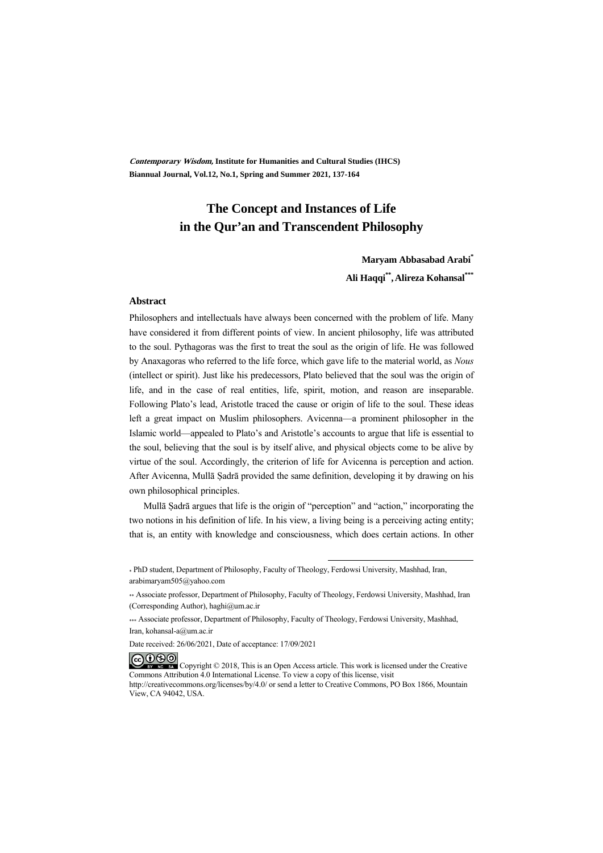**Contemporary Wisdom, Institute for Humanities and Cultural Studies (IHCS) Biannual Journal, Vol.12, No.1, Spring and Summer 2021, 137-164** 

## **The Concept and Instances of Life in the Qur'an and Transcendent Philosophy**

**Maryam Abbasabad Arabi\* Ali Haqqi\*\*,Alireza Kohansal\*\*\***

#### **Abstract**

Philosophers and intellectuals have always been concerned with the problem of life. Many have considered it from different points of view. In ancient philosophy, life was attributed to the soul. Pythagoras was the first to treat the soul as the origin of life. He was followed by Anaxagoras who referred to the life force, which gave life to the material world, as *Nous* (intellect or spirit). Just like his predecessors, Plato believed that the soul was the origin of life, and in the case of real entities, life, spirit, motion, and reason are inseparable. Following Plato's lead, Aristotle traced the cause or origin of life to the soul. These ideas left a great impact on Muslim philosophers. Avicenna—a prominent philosopher in the Islamic world—appealed to Plato's and Aristotle's accounts to argue that life is essential to the soul, believing that the soul is by itself alive, and physical objects come to be alive by virtue of the soul. Accordingly, the criterion of life for Avicenna is perception and action. After Avicenna, Mullā Ṣadrā provided the same definition, developing it by drawing on his own philosophical principles.

Mullā Ṣadrā argues that life is the origin of "perception" and "action," incorporating the two notions in his definition of life. In his view, a living being is a perceiving acting entity; that is, an entity with knowledge and consciousness, which does certain actions. In other

.

**@000** 

<sup>\*</sup> PhD student, Department of Philosophy, Faculty of Theology, Ferdowsi University, Mashhad, Iran, arabimaryam505@yahoo.com

<sup>\*\*</sup> Associate professor, Department of Philosophy, Faculty of Theology, Ferdowsi University, Mashhad, Iran (Corresponding Author), haghi@um.ac.ir

<sup>\*\*\*</sup> Associate professor, Department of Philosophy, Faculty of Theology, Ferdowsi University, Mashhad, Iran, kohansal-a@um.ac.ir

Date received: 26/06/2021, Date of acceptance: 17/09/2021

Copyright © 2018, This is an Open Access article. This work is licensed under the Creative Commons Attribution 4.0 International License. To view a copy of this license, visit http://creativecommons.org/licenses/by/4.0/ or send a letter to Creative Commons, PO Box 1866, Mountain View, CA 94042, USA.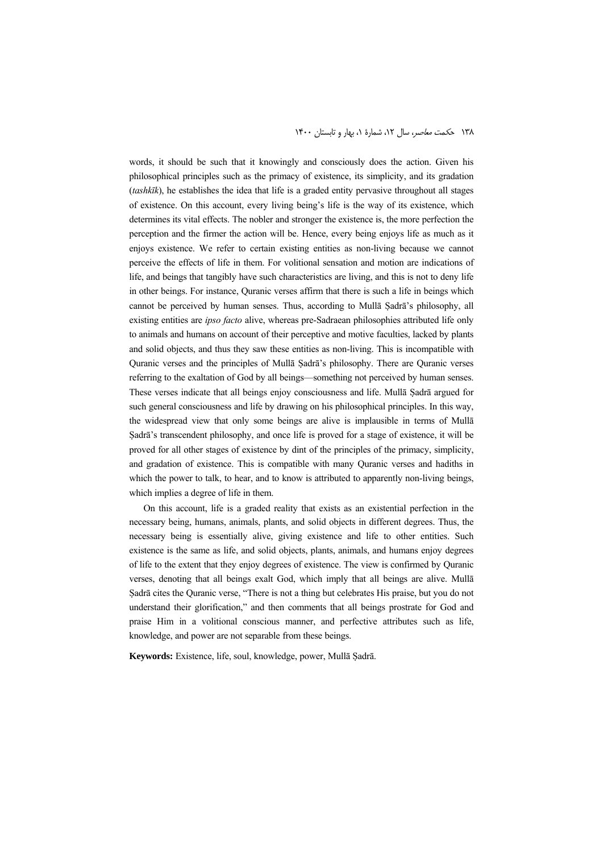words, it should be such that it knowingly and consciously does the action. Given his philosophical principles such as the primacy of existence, its simplicity, and its gradation (*tashkīk*), he establishes the idea that life is a graded entity pervasive throughout all stages of existence. On this account, every living being's life is the way of its existence, which determines its vital effects. The nobler and stronger the existence is, the more perfection the perception and the firmer the action will be. Hence, every being enjoys life as much as it enjoys existence. We refer to certain existing entities as non-living because we cannot perceive the effects of life in them. For volitional sensation and motion are indications of life, and beings that tangibly have such characteristics are living, and this is not to deny life in other beings. For instance, Quranic verses affirm that there is such a life in beings which cannot be perceived by human senses. Thus, according to Mullā Ṣadrā's philosophy, all existing entities are *ipso facto* alive, whereas pre-Sadraean philosophies attributed life only to animals and humans on account of their perceptive and motive faculties, lacked by plants and solid objects, and thus they saw these entities as non-living. This is incompatible with Quranic verses and the principles of Mullā Ṣadrā's philosophy. There are Quranic verses referring to the exaltation of God by all beings—something not perceived by human senses. These verses indicate that all beings enjoy consciousness and life. Mullā Ṣadrā argued for such general consciousness and life by drawing on his philosophical principles. In this way, the widespread view that only some beings are alive is implausible in terms of Mullā Ṣadrā's transcendent philosophy, and once life is proved for a stage of existence, it will be proved for all other stages of existence by dint of the principles of the primacy, simplicity, and gradation of existence. This is compatible with many Quranic verses and hadiths in which the power to talk, to hear, and to know is attributed to apparently non-living beings, which implies a degree of life in them.

On this account, life is a graded reality that exists as an existential perfection in the necessary being, humans, animals, plants, and solid objects in different degrees. Thus, the necessary being is essentially alive, giving existence and life to other entities. Such existence is the same as life, and solid objects, plants, animals, and humans enjoy degrees of life to the extent that they enjoy degrees of existence. The view is confirmed by Quranic verses, denoting that all beings exalt God, which imply that all beings are alive. Mullā Ṣadrā cites the Quranic verse, "There is not a thing but celebrates His praise, but you do not understand their glorification," and then comments that all beings prostrate for God and praise Him in a volitional conscious manner, and perfective attributes such as life, knowledge, and power are not separable from these beings.

**Keywords:** Existence, life, soul, knowledge, power, Mullā Ṣadrā.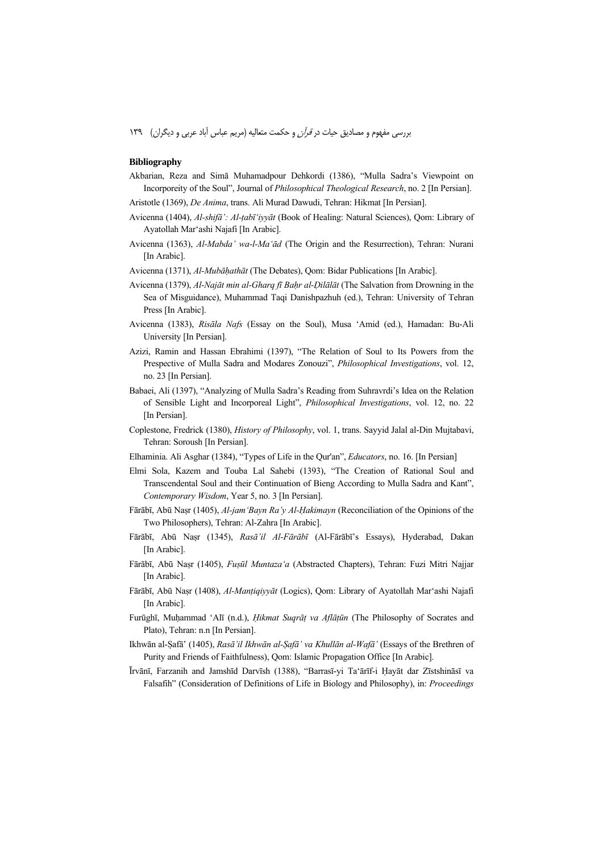#### **Bibliography**

- Akbarian, Reza and Simā Muhamadpour Dehkordi (1386), "Mulla Sadra's Viewpoint on Incorporeity of the Soul", Journal of *Philosophical Theological Research*, no. 2 [In Persian].
- Aristotle (1369), *De Anima*, trans. Ali Murad Dawudi, Tehran: Hikmat [In Persian].
- Avicenna (1404), *Al-shifā': Al-ṭabī'iyyāt* (Book of Healing: Natural Sciences), Qom: Library of Ayatollah Mar'ashi Najafi [In Arabic].
- Avicenna (1363), *Al-Mabda' wa-l-Ma'ād* (The Origin and the Resurrection), Tehran: Nurani [In Arabic].
- Avicenna (1371), *Al-Mubāḥathāt* (The Debates), Qom: Bidar Publications [In Arabic].
- Avicenna (1379), *Al-Najāt min al-Gharq fī Baḥr al-Ḍilālāt* (The Salvation from Drowning in the Sea of Misguidance), Muhammad Taqi Danishpazhuh (ed.), Tehran: University of Tehran Press [In Arabic].
- Avicenna (1383), *Risāla Nafs* (Essay on the Soul), Musa 'Amid (ed.), Hamadan: Bu-Ali University [In Persian].
- Azizi, Ramin and Hassan Ebrahimi (1397), "The Relation of Soul to Its Powers from the Prespective of Mulla Sadra and Modares Zonouzi", *Philosophical Investigations*, vol. 12, no. 23 [In Persian].
- Babaei, Ali (1397), "Analyzing of Mulla Sadra's Reading from Suhravrdi's Idea on the Relation of Sensible Light and Incorporeal Light", *Philosophical Investigations*, vol. 12, no. 22 [In Persian].
- Coplestone, Fredrick (1380), *History of Philosophy*, vol. 1, trans. Sayyid Jalal al-Din Mujtabavi, Tehran: Soroush [In Persian].
- Elhaminia. Ali Asghar (1384), "Types of Life in the Qur'an", *Educators*, no. 16. [In Persian]
- Elmi Sola, Kazem and Touba Lal Sahebi (1393), "The Creation of Rational Soul and Transcendental Soul and their Continuation of Bieng According to Mulla Sadra and Kant", *Contemporary Wisdom*, Year 5, no. 3 [In Persian].
- Fārābī, Abū Naṣr (1405), *Al-jam'Bayn Ra'y Al-Ḥakimayn* (Reconciliation of the Opinions of the Two Philosophers), Tehran: Al-Zahra [In Arabic].
- Fārābī, Abū Naṣr (1345), *Rasā'il Al-Fārābī* (Al-Fārābī's Essays), Hyderabad, Dakan [In Arabic].
- Fārābī, Abū Naṣr (1405), *Fuṣūl Muntaza'a* (Abstracted Chapters), Tehran: Fuzi Mitri Najjar [In Arabic].
- Fārābī, Abū Naṣr (1408), *Al-Manṭiqiyyāt* (Logics), Qom: Library of Ayatollah Mar'ashi Najafi [In Arabic].
- Furūghī, Muḥammad 'Alī (n.d.), *Ḥikmat Suqrāṭ va Aflāṭūn* (The Philosophy of Socrates and Plato), Tehran: n.n [In Persian].
- Ikhwān al-Ṣafā' (1405), *Rasā'il Ikhwān al-Ṣafā' va Khullān al-Wafā'* (Essays of the Brethren of Purity and Friends of Faithfulness), Qom: Islamic Propagation Office [In Arabic].

Īrvānī, Farzanih and Jamshīd Darvīsh (1388), "Barrasī-yi Ta'ārīf-i Ḥayāt dar Zīstshināsī va Falsafih" (Consideration of Definitions of Life in Biology and Philosophy), in: *Proceedings*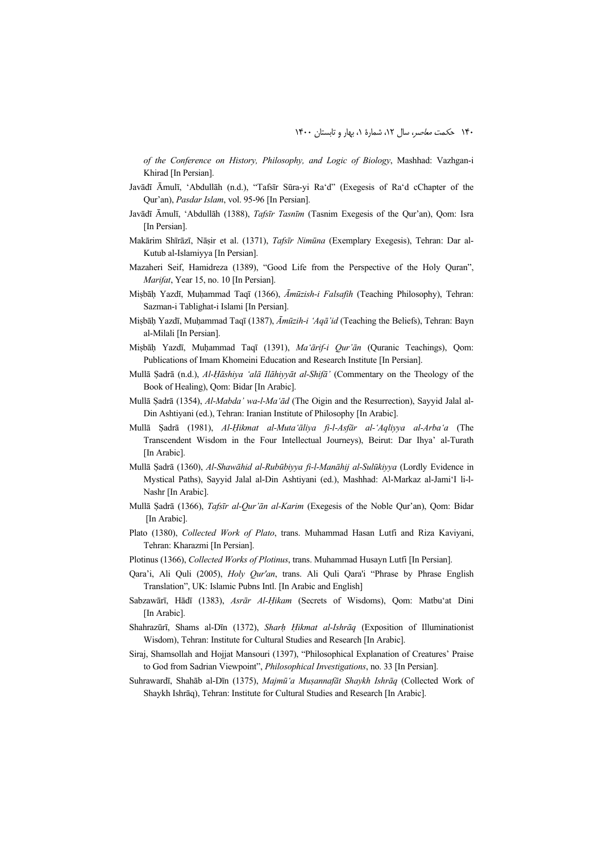*of the Conference on History, Philosophy, and Logic of Biology*, Mashhad: Vazhgan-i Khirad [In Persian].

- Javādī Āmulī, 'Abdullāh (n.d.), "Tafsīr Sūra-yi Ra'd" (Exegesis of Ra'd cChapter of the Qur'an), *Pasdar Islam*, vol. 95-96 [In Persian].
- Javādī Āmulī, 'Abdullāh (1388), *Tafsīr Tasnīm* (Tasnim Exegesis of the Qur'an), Qom: Isra [In Persian].
- Makārim Shīrāzī, Nāṣir et al. (1371), *Tafsīr Nimūna* (Exemplary Exegesis), Tehran: Dar al-Kutub al-Islamiyya [In Persian].
- Mazaheri Seif, Hamidreza (1389), "Good Life from the Perspective of the Holy Quran", *Marifat*, Year 15, no. 10 [In Persian].
- Miṣbāḥ Yazdī, Muḥammad Taqī (1366), *Āmūzish-i Falsafih* (Teaching Philosophy), Tehran: Sazman-i Tablighat-i Islami [In Persian].
- Miṣbāḥ Yazdī, Muḥammad Taqī (1387), *Āmūzih-i 'Aqā'id* (Teaching the Beliefs), Tehran: Bayn al-Milali [In Persian].
- Miṣbāḥ Yazdī, Muḥammad Taqī (1391), *Ma'ārif-i Qur'ān* (Quranic Teachings), Qom: Publications of Imam Khomeini Education and Research Institute [In Persian].
- Mullā Ṣadrā (n.d.), *Al-Ḥāshiya 'alā Ilāhiyyāt al-Shifā'* (Commentary on the Theology of the Book of Healing), Qom: Bidar [In Arabic].
- Mullā Ṣadrā (1354), *Al-Mabda' wa-l-Ma'ād* (The Oigin and the Resurrection), Sayyid Jalal al-Din Ashtiyani (ed.), Tehran: Iranian Institute of Philosophy [In Arabic].
- Mullā Ṣadrā (1981), *Al-Ḥikmat al-Muta'āliya fi-l-Asfār al-'Aqliyya al-Arba'a* (The Transcendent Wisdom in the Four Intellectual Journeys), Beirut: Dar Ihya' al-Turath [In Arabic].
- Mullā Ṣadrā (1360), *Al-Shawāhid al-Rubūbiyya fi-l-Manāhij al-Sulūkiyya* (Lordly Evidence in Mystical Paths), Sayyid Jalal al-Din Ashtiyani (ed.), Mashhad: Al-Markaz al-Jami'I li-l-Nashr [In Arabic].
- Mullā Ṣadrā (1366), *Tafsīr al-Qur'ān al-Karim* (Exegesis of the Noble Qur'an), Qom: Bidar [In Arabic].
- Plato (1380), *Collected Work of Plato*, trans. Muhammad Hasan Lutfi and Riza Kaviyani, Tehran: Kharazmi [In Persian].
- Plotinus (1366), *Collected Works of Plotinus*, trans. Muhammad Husayn Lutfi [In Persian].
- Qara'i, Ali Quli (2005), *Holy Qur'an*, trans. Ali Quli Qara'i "Phrase by Phrase English Translation", UK: Islamic Pubns Intl. [In Arabic and English]
- Sabzawārī, Hādī (1383), *Asrār Al-Ḥikam* (Secrets of Wisdoms), Qom: Matbu'at Dini [In Arabic].
- Shahrazūrī, Shams al-Dīn (1372), *Sharḥ Ḥikmat al-Ishrāq* (Exposition of Illuminationist Wisdom), Tehran: Institute for Cultural Studies and Research [In Arabic].
- Sirai, Shamsollah and Hojjat Mansouri (1397), "Philosophical Explanation of Creatures' Praise to God from Sadrian Viewpoint", *Philosophical Investigations*, no. 33 [In Persian].
- Suhrawardī, Shahāb al-Dīn (1375), *Majmū'a Muṣannafāt Shaykh Ishrāq* (Collected Work of Shaykh Ishrāq), Tehran: Institute for Cultural Studies and Research [In Arabic].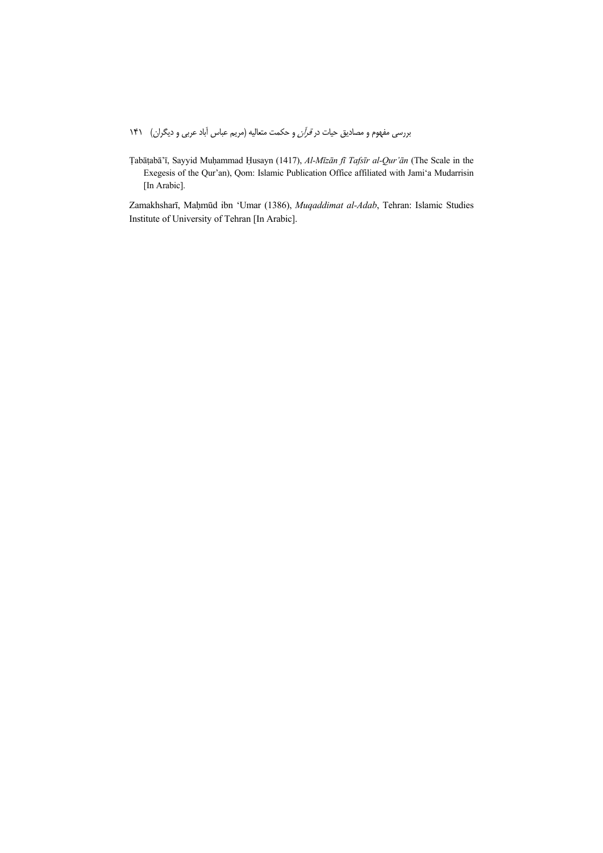Ṭabāṭabā'ī, Sayyid Muḥammad Ḥusayn (1417), *Al-Mīzān fī Tafsīr al-Qur'ān* (The Scale in the Exegesis of the Qur'an), Qom: Islamic Publication Office affiliated with Jami'a Mudarrisin [In Arabic].

Zamakhsharī, Maḥmūd ibn 'Umar (1386), *Muqaddimat al-Adab*, Tehran: Islamic Studies Institute of University of Tehran [In Arabic].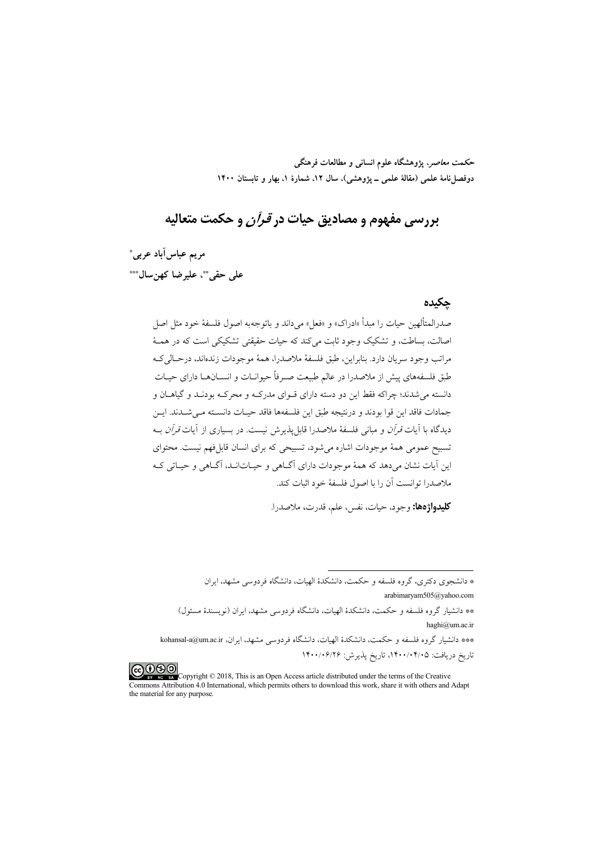**حكمت معاصر، پژوهشگاه علوم انساني و مطالعات فرهنگي دوفصلنامة علمي (مقالة علمي ـ پژوهشي)، سال ،12 شمارة ،1 بهار و تابستان 1400** 

# **بررسي مفهوم و مصاديق حيات در قرآن و حكمت متعاليه**

 **\* مريم عباسآباد عربي \*\*\* ، عليرضا كهنسال \*\* علي حقي**

#### **چكيده**

صدرالمتألهين حيات را مبدأ «ادراك» و «فعل» ميداند و باتوجهبه اصول فلسفة خود مثل اصل اصالت، بساطت، و تشكيك وجود ثابت ميكند كه حيات حقيقتي تشكيكي است كه در همـة مراتب وجود سريان دارد. بنابراين، طبق فلسفة ملاصدرا، همة موجودات زندهاند، درحـاليكـه طبق فلسفههاي پيش از ملاصدرا در عالم طبيعت صـرفاً حيوانـات و انسـانهـا داراي حيـات دانسته ميشدند؛ چراكه فقط اين دو دسته داراي قـواي مدركـه و محركـه بودنـد و گياهـان و جمادات فاقد اين قوا بودند و درنتيجه طبق اين فلسفهها فاقد حيـات دانسـته مـيشـدند. ايـن ديدگاه با آيات *قرآن و* مباني فلسفهٔ ملاصدرا قابل پذيرش نيست. در بسياري از آيات *قرآن* بـه تسبيح عمومي همة موجودات اشاره ميشود، تسبيحي كه براي انسان قابلفهم نيست. محتواي اين آيات نشان ميدهد كه همة موجودات داراي آگـاهي و حيـاتانـد، آگـاهي و حيـاتي كـه ملاصدرا توانست آن را با اصول فلسفة خود اثبات كند.

**كليدواژهها:** وجود، حيات، نفس، علم، قدرت**،** ملاصدرا.

.

\*\*\* دانشيار گروه فلسفه و حكمت، دانشكدة الهيات، دانشگاه فردوسي مشهد، ايران، ir.ac.um@a-kohansal

تاريخ دريافت: ،1400/04/05 تاريخ پذيرش: 1400/06/26



COO CO<br>**Copyright © 2018**, This is an Open Access article distributed under the terms of the Creative<br>there to download this work, share it with others and Commons Attribution 4.0 International, which permits others to download this work, share it with others and Adapt the material for any purpose.

<sup>\*</sup> دانشجوي دكتري، گروه فلسفه و حكمت، دانشكدة الهيات، دانشگاه فردوسي مشهد، ايران arabimaryam505@yahoo.com

<sup>\*\*</sup> دانشيار گروه فلسفه و حكمت، دانشكدة الهيات، دانشگاه فردوسي مشهد، ايران (نويسندة مسئول) haghi@um.ac.ir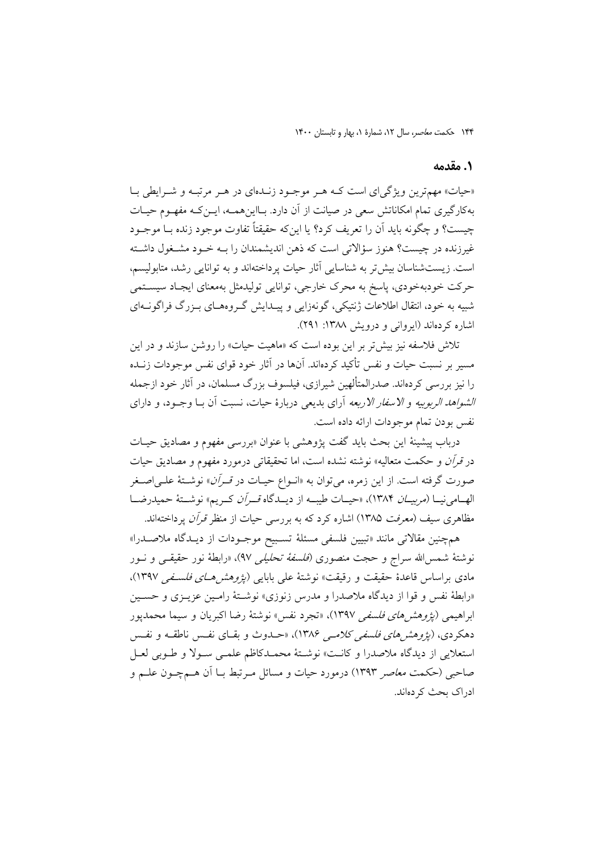#### **.1 مقدمه**

«حيات» مهمترين ويژگياي است كـه هـر موجـود زنـدهاي در هـر مرتبـه و شـرايطي بـا بهكارگيري تمام امكاناتش سعي در صيانت از آن دارد. بـااينهمـه، ايـنكـه مفهـوم حيـات چيست؟ و چگونه بايد آن را تعريف كرد؟ يا اينكه حقيقتاً تفاوت موجود زنده بـا موجـود غيرزنده در چيست؟ هنوز سؤالاتي است كه ذهن انديشمندان را بـه خـود مشـغول داشـته است. زيستشناسان بيشتر به شناسايي آثار حيات پرداختهاند و به توانايي رشد، متابوليسم، حركت خودبهخودي، پاسخ به محرك خارجي، توانايي توليدمثل بهمعناي ايجـاد سيسـتمي شبيه به خود، انتقال اطلاعات ژنتيكي، گونهزايي و پيـدايش گـروههـاي بـزرگ فراگونـهاي اشاره كردهاند (ايرواني و درويش :1388 291).

تلاش فلاسفه نيز بيشتر بر اين بوده است كه «ماهيت حيات» را روشن سازند و در اين مسير بر نسبت حيات و نفس تأكيد كردهاند. آنها در آثار خود قواي نفس موجودات زنـده را نيز بررسي كردهاند. صدرالمتألهين شيرازي، فيلسوف بزرگ مسلمان، در آثار خود ازجمله الشواهد الربوبيه و الاسفار الاربعه آراي بديعي دربارة حيات، نسبت آن بـا وجـود، و داراي نفس بودن تمام موجودات ارائه داده است.

درباب پيشينة اين بحث بايد گفت پژوهشي با عنوان «بررسي مفهوم و مصاديق حيـات در قرآن و حكمت متعاليه» نوشته نشده است، اما تحقيقاتي درمورد مفهوم و مصاديق حيات صورت گرفته است. از اين زمره، ميتوان به «انـواع حيـات در قـرآن» نوشـتة علـياصـغر الهــامينيــا (مربيــان 1384)، «حيــات طيبــه از ديــدگاه قــرآن كــريم» نوشــتة حميدرضــا مظاهري سيف (*معرفت ١*٣٨۵) اشاره كرد كه به بررسي حيات از منظر قر*آن* پرداختهاند.

همچنين مقالاتي مانند «تبيين فلسفي مسئلة تسـبيح موجـودات از ديـدگاه ملاصـدرا» نوشتة شمساالله سراج و حجت منصوري (فلسفة تحليلي 97)، «رابطة نور حقيقـي و نـور مادي براساس قاعدة حقيقت و رقيقت» نوشتهٔ علي بابايي *(پژوهش هـاي فلسـفي ١*٣٩٧)، «رابطة نفس و قوا از ديدگاه ملاصدرا و مدرس زنوزي» نوشـتة رامـين عزيـزي و حسـين ابراهيمي *(پژوهش هاي فلسفي ١*٣٩٧)، «تجرد نفس» نوشتهٔ رضا اكبريان و سيما محمدپور دهكردي، (پ*ژوهشهاي فلسفي كلامـي ۱*۳۸۶)، «حـدوث و بقـاي نفـس ناطقـه و نفـس استعلايي از ديدگاه ملاصدرا و كانـت» نوشـتة محمـدكاظم علمـي سـولا و طـوبي لعـل صاحبي (حكمت معاصر 1393) درمورد حيات و مسائل مـرتبط بـا آن هـمچـون علـم و ادراك بحث كردهاند.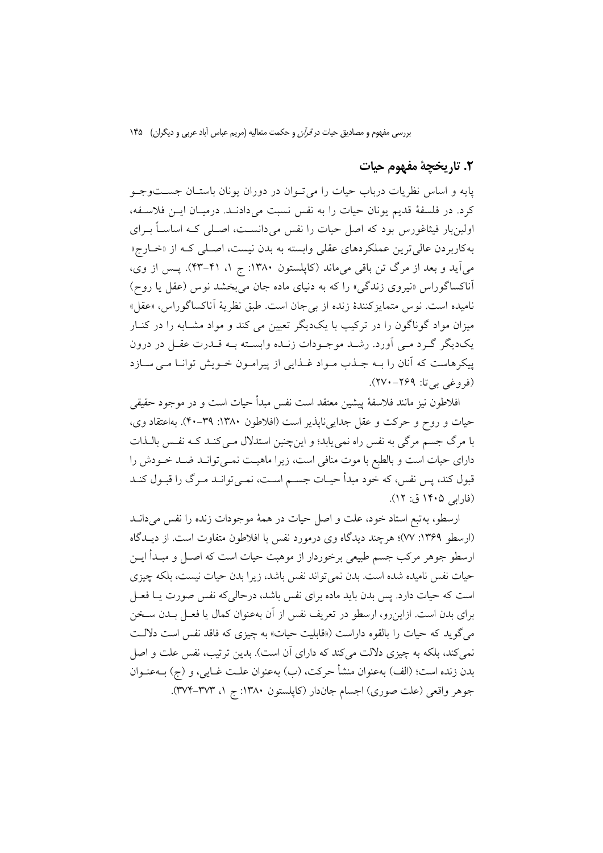### **.2 تاريخچة مفهوم حيات**

پايه و اساس نظريات درباب حيات را ميتـوان در دوران يونان باستـان جسـتوجـو كرد. در فلسفة قديم يونان حيات را به نفس نسبت ميدادنـد. درميـان ايـن فلاسـفه، اولينبار فيثاغورس بود كه اصل حيات را نفس ميدانسـت، اصـلي كـه اساسـاً بـراي بهكاربردن عاليترين عملكردهاي عقلي وابسته به بدن نيست، اصـلي كـه از «خـارج» ميآيد و بعد از مرگ تن باقي ميماند (كاپلستون :1380 ج ،1 -41 43). پـس از وي، آناكساگوراس «نيروي زندگي» را كه به دنياي ماده جان ميبخشد نوس (عقل يا روح) ناميده است. نوس متمايزكنندة زنده از بيجان است. طبق نظرية آناكساگوراس، «عقل» ميزان مواد گوناگون را در تركيب با يكديگر تعيين مي كند و مواد مشـابه را در كنـار يكديگر گـرد مـي آورد. رشـد موجـودات زنـده وابسـته بـه قـدرت عقـل در درون پيكرهاست كه آنان را بـه جـذب مـواد غـذايي از پيرامـون خـويش توانـا مـي سـازد (فروغي بي تا: ٢٤٩–٢٧٠).

افلاطون نيز مانند فلاسفة پيشين معتقد است نفس مبدأ حيات است و در موجود حقيقي حيات و روح و حركت و عقل جداييناپذير است (افلاطون :1380 40-39). بهاعتقاد وي، با مرگ جسم مرگي به نفس راه نمييابد؛ و اينچنين استدلال مـيكنـد كـه نفـس بالـذات داراي حيات است و بالطبع با موت منافي است، زيرا ماهيـت نمـيتوانـد ضـد خـودش را قبول كند، پس نفس، كه خود مبدأ حيـات جسـم اسـت، نمـيتوانـد مـرگ را قبـول كنـد (فارابي 1405 ق: 12).

ارسطو، بهتبع استاد خود، علت و اصل حيات در همة موجودات زنده را نفس ميدانـد (ارسطو :1369 77)؛ هرچند ديدگاه وي درمورد نفس با افلاطون متفاوت است. از ديـدگاه ارسطو جوهر مركب جسم طبيعي برخوردار از موهبت حيات است كه اصـل و مبـدأ ايـن حيات نفس ناميده شده است. بدن نميتواند نفس باشد، زيرا بدن حيات نيست، بلكه چيزي است كه حيات دارد. پس بدن بايد ماده براي نفس باشد، درحاليكه نفس صورت يـا فعـل براي بدن است. ازاينرو، ارسطو در تعريف نفس از آن بهعنوان كمال يا فعـل بـدن سـخن ميگويد كه حيات را بالقوه داراست («قابليت حيات» به چيزي كه فاقد نفس است دلالـت نمي كند، بلكه به چيزي دلالت ميكند كه داراي آن است). بدين ترتيب، نفس علت و اصل بدن زنده است؛ (الف) بهعنوان منشأ حركت، (ب) بهعنوان علـت غـايي، و (ج) بـهعنـوان جوهر واقعي (علت صوري) اجسام جاندار (كاپلستون :1380 ج ،1 374-373).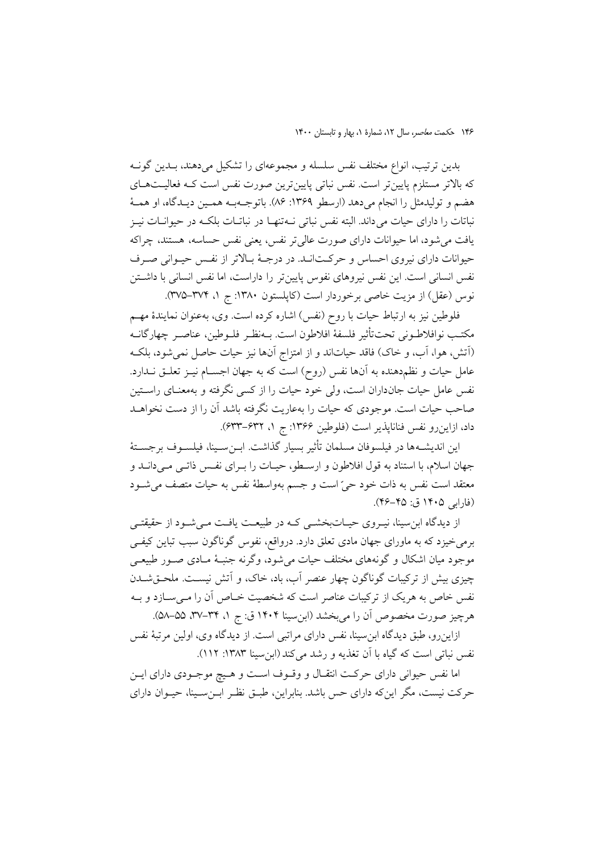بدين ترتيب، انواع مختلف نفس سلسله و مجموعهاي را تشكيل ميدهند، بـدين گونـه كه بالاتر مستلزم پايينتر است. نفس نباتي پايينترين صورت نفس است كـه فعاليـتهـاي هضم و توليدمثل را انجام ميدهد (ارسطو :1369 86). باتوجـهبـه همـين ديـدگاه، او همـة نباتات را داراي حيات ميداند. البته نفس نباتي نـهتنهـا در نباتـات بلكـه در حيوانـات نيـز يافت ميشود، اما حيوانات داراي صورت عاليتر نفس، يعني نفس حساسه، هستند، چراكه حيوانات داراي نيروي احساس و حركـتانـد. در درجـة بـالاتر از نفـس حيـواني صـرف نفس انساني است. اين نفس نيروهاي نفوس پايينتر را داراست، اما نفس انساني با داشـتن نوس (عقل) از مزيت خاصي برخوردار است (كاپلستون :1380 ج ،1 375-374).

فلوطين نيز به ارتباط حيات با روح (نفس) اشاره كرده است. وي، بهعنوان نمايندة مهـم مكتـب نوافلاطـوني تحتتأثير فلسفة افلاطون است. بـهنظـر فلـوطين، عناصـر چهارگانـه (آتش، هوا، آب، و خاك) فاقد حياتاند و از امتزاج آنها نيز حيات حاصل نميشود، بلكـه عامل حيات و نظمدهنده به آنها نفس (روح) است كه به جهان اجسـام نيـز تعلـق نـدارد. نفس عامل حيات جانداران است، ولي خود حيات را از كسي نگرفته و بهمعنـاي راسـتين صاحب حيات است. موجودي كه حيات را بهعاريت نگرفته باشد آن را از دست نخواهـد داد، ازاينرو نفس فناناپذير است (فلوطين ۱۳۶۶: ج ۱، ۶۳۲–۶۳۳).

اين انديشـهها در فيلسوفان مسلمان تأثير بسيار گذاشت. ابـنسـينا، فيلسـوف برجسـتة جهان اسلام، با استناد به قول افلاطون و ارسـطو، حيـات را بـراي نفـس ذاتـي مـيدانـد و معتقد است نفس به ذات خود حي است و جسم بهواسطة نفس به حيات متصف ميشـود (فارابي 1405 ق: 46-45).

از ديدگاه ابنسينا، نيـروي حيـاتبخشـي كـه در طبيعـت يافـت مـيشـود از حقيقتـي برميخيزد كه به ماوراي جهان مادي تعلق دارد. درواقع، نفوس گوناگون سبب تباين كيفـي موجود ميان اشكال و گونههاي مختلف حيات ميشود، وگرنه جنبـة مـادي صـور طبيعـي چيزي بيش از تركيبات گوناگون چهار عنصر آب، باد، خاك، و آتش نيسـت. ملحـقشـدن نفس خاص به هريك از تركيبات عناصر است كه شخصيت خـاص آن را مـيسـازد و بـه هرچيز صورت مخصوص آن را ميبخشد (ابنسينا 1404 ق: ج ،1 ،37-34 58-55).

ازاينرو، طبق ديدگاه ابنسينا، نفس داراي مراتبي است. از ديدگاه وي، اولين مرتبة نفس نفس نباتي است كه گياه با آن تغذيه و رشد مي كند (ابن سينا ١٣٨٣: ١١٢).

اما نفس حيواني داراي حركـت انتقـال و وقـوف اسـت و هـيچ موجـودي داراي ايـن حركت نيست، مگر اينكه داراي حس باشد. بنابراين، طبـق نظـر ابـنسـينا، حيـوان داراي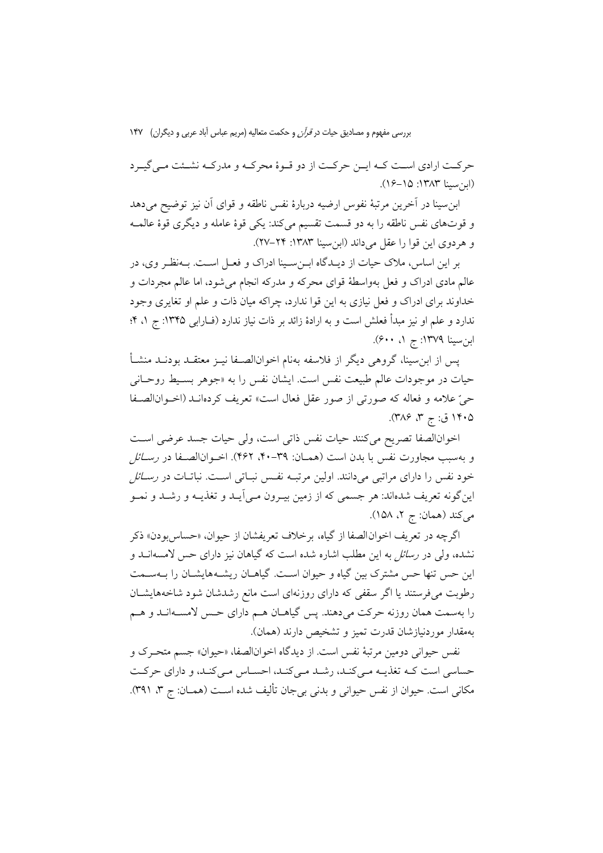حركـت ارادي اسـت كـه ايـن حركـت از دو قـوة محركـه و مدركـه نشـئت مـيگيـرد (ابنسينا :1383 16-15).

ابنسينا در آخرين مرتبة نفوس ارضيه دربارة نفس ناطقه و قواي آن نيز توضيح ميدهد و قوتهاي نفس ناطقه را به دو قسمت تقسيم ميكند: يكي قوة عامله و ديگري قوة عالمـه و هردوي اين قوا را عقل مي داند (ابن سينا ١٣٨٣: ٢٢–٢٧).

بر اين اساس، ملاك حيات از ديـدگاه ابـنسـينا ادراك و فعـل اسـت. بـهنظـر وي، در عالم مادي ادراك و فعل بهواسطة قواي محركه و مدركه انجام ميشود، اما عالم مجردات و خداوند براي ادراك و فعل نيازي به اين قوا ندارد، چراكه ميان ذات و علم او تغايري وجود ندارد و علم او نيز مبدأ فعلش است و به ارادة زائد بر ذات نياز ندارد (فـارابي :1345 ج ،1 4؛ ابن سينا ١٣٧٩: ج ١، ٤٠٠).

پس از ابنسينا، گروهي ديگر از فلاسفه بهنام اخوانالصـفا نيـز معتقـد بودنـد منشـأ حيات در موجودات عالم طبيعت نفس است. ايشان نفس را به «جوهر بسـيط روحـاني حي علامه و فعاله كه صورتي از صور عقل فعال است» تعريف كردهانـد (اخـوانالصـفا ۱۴۰۵ ق: ج ۳، ۳۸۶).

اخوانالصفا تصريح ميكنند حيات نفس ذاتي است، ولي حيات جسد عرضي اسـت و بهسبب مجاورت نفس با بدن است (همـان: ۳۹-۴۰، ۴۶۲). اخـوانالصـفا در ر*سـائل* خود نفس را داراي مراتبي ميدانند. اولين مرتبـه نفـس نبـاتي اسـت. نباتـات در رسـائل اينگونه تعريف شدهاند: هر جسمي كه از زمين بيـرون مـيآيـد و تغذيـه و رشـد و نمـو ميكند (همان: ج ۲، ۱۵۸).

اگرچه در تعريف اخوانالصفا از گياه، برخلاف تعريفشان از حيوان، «حساسبودن» ذكر نشده، ولي در رسائل به اين مطلب اشاره شده است كه گياهان نيز داراي حس لامسهانـد و اين حس تنها حس مشترك بين گياه و حيوان اسـت. گياهـان ريشـههايشـان را بـهسـمت رطوبت ميفرستند يا اگر سقفي كه داراي روزنهاي است مانع رشدشان شود شاخههايشـان را بهسمت همان روزنه حركت ميدهند. پس گياهـان هـم داراي حـس لامسـهانـد و هـم بهمقدار موردنيازشان قدرت تميز و تشخيص دارند (همان).

نفس حيواني دومين مرتبة نفس است. از ديدگاه اخوانالصفا، «حيوان» جسم متحـرك و حساسي است كـه تغذيـه مـيكنـد، رشـد مـيكنـد، احسـاس مـيكنـد، و داراي حركـت مكاني است. حيوان از نفس حيواني و بدني بيجان تأليف شده اسـت (همـان: ج ٣، ٣٩١).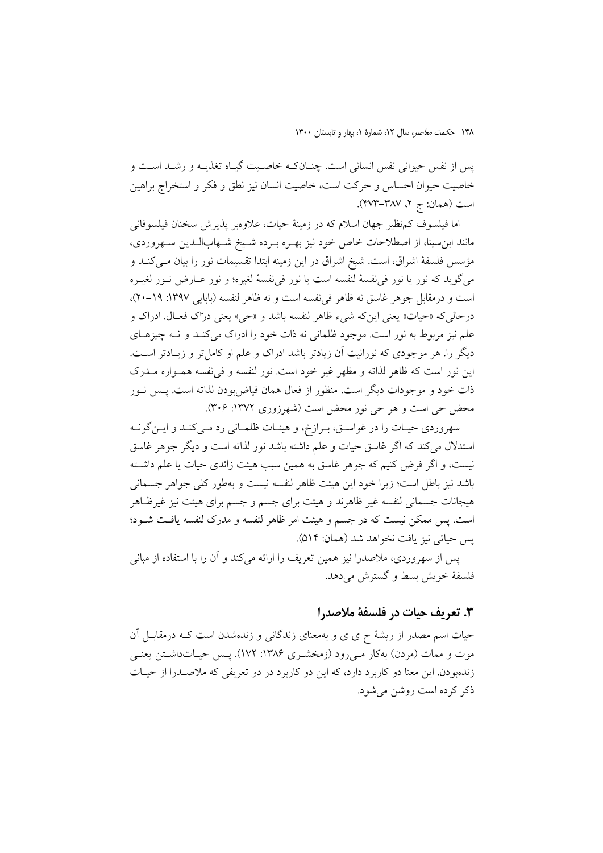پس از نفس حيواني نفس انساني است. چنـانكـه خاصـيت گيـاه تغذيـه و رشـد اسـت و خاصيت حيوان احساس و حركت است، خاصيت انسان نيز نطق و فكر و استخراج براهين است (همان: ج ۲، ۲۸۷–۴۷۳).

اما فيلسوف كمنظير جهان اسلام كه در زمينة حيات، علاوهبر پذيرش سخنان فيلسوفاني مانند ابنسينا، از اصطلاحات خاص خود نيز بهـره بـرده شـيخ شـهابالـدين سـهروردي، مؤسس فلسفة اشراق، است. شيخ اشراق در اين زمينه ابتدا تقسيمات نور را بيان مـيكنـد و ميگويد كه نور يا نور فينفسة لنفسه است يا نور فينفسة لغيره؛ و نور عـارض نـور لغيـره است و درمقابل جوهر غاسق نه ظاهر فينفسه است و نه ظاهر لنفسه (بابايي :1397 20-19)، درحاليكه «حيات» يعني اينكه شيء ظاهر لنفسه باشد و «حي» يعني دراك فعـال. ادراك و علم نيز مربوط به نور است. موجود ظلماني نه ذات خود را ادراك ميكنـد و نـه چيزهـاي ديگر را. هر موجودي كه نورانيت آن زيادتر باشد ادراك و علم او كاملتر و زيـادتر اسـت. اين نور است كه ظاهر لذاته و مظهر غير خود است. نور لنفسه و فينفسه همـواره مـدرك ذات خود و موجودات ديگر است. منظور از فعال همان فياضبودن لذاته است. پـس نـور محض حي است و هر حي نور محض است (شهرزوري :1372 306).

سهروردي حيـات را در غواسـق، بـرازخ، و هيئـات ظلمـاني رد مـيكنـد و ايـنگونـه استدلال ميكند كه اگر غاسق حيات و علم داشته باشد نور لذاته است و ديگر جوهر غاسق نيست، و اگر فرض كنيم كه جوهر غاسق به همين سبب هيئت زائدي حيات يا علم داشـته باشد نيز باطل است؛ زيرا خود اين هيئت ظاهر لنفسه نيست و بهطور كلي جواهر جسماني هيجانات جسماني لنفسه غير ظاهرند و هيئت براي جسم و جسم براي هيئت نيز غيرظـاهر است. پس ممكن نيست كه در جسم و هيئت امر ظاهر لنفسه و مدرك لنفسه يافـت شـود؛ پس حياتي نيز يافت نخواهد شد (همان: 514).

پس از سهروردي، ملاصدرا نيز همين تعريف را ارائه ميكند و آن را با استفاده از مباني فلسفهٔ خويش بسط و گسترش مي دهد.

### **.3 تعريف حيات در فلسفة ملاصدرا**

حيات اسم مصدر از ريشة ح ى ى و بهمعناى زندگانى و زندهشدن است كـه درمقابـل آن موت و ممات (مردن) بهكار مـىرود (زمخشـري :1386 172). پـس حيـاتداشـتن يعنـي زندهبودن. اين معنا دو كاربرد دارد، كه اين دو كاربرد در دو تعريفي كه ملاصـدرا از حيـات ذكر كرده است روشن ميشود.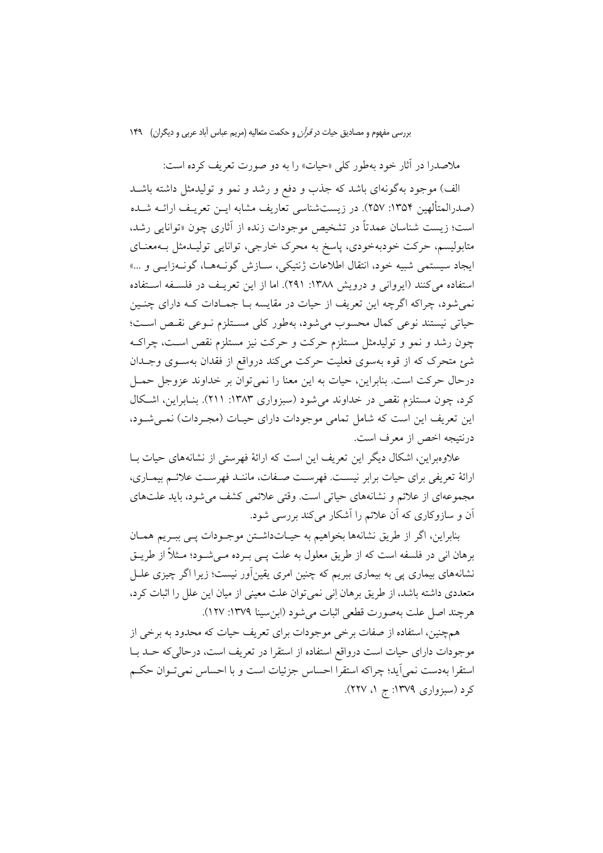ملاصدرا در آثار خود بهطور كلي «حيات» را به دو صورت تعريف كرده است:

الف) موجود بهگونهاي باشد كه جذب و دفع و رشد و نمو و توليدمثل داشته باشـد (صدرالمتألهين ١٣٥۴: ٢٥٧). در زيستشناسي تعاريف مشابه ايـن تعريـف ارائـه شـده است؛ زيست شناسان عمدتاً در تشخيص موجودات زنده از آثاري چون «توانايي رشد، متابوليسم، حركت خودبهخودي، پاسخ به محرك خارجي، توانايي توليـدمثل بـهمعنـاي ايجاد سيستمي شبيه خود، انتقال اطلاعات ژنتيكي، سـازش گونـههـا، گونـهزايـي و ...» استفاده ميكنند (ايرواني و درويش :1388 291). اما از اين تعريـف در فلسـفه اسـتفاده نميشود، چراكه اگرچه اين تعريف از حيات در مقايسه بـا جمـادات كـه داراي چنـين حياتي نيستند نوعي كمال محسوب ميشود، بهطور كلي مسـتلزم نـوعي نقـص اسـت؛ چون رشد و نمو و توليدمثل مستلزم حركت و حركت نيز مستلزم نقص اسـت، چراكـه شئ متحرك كه از قوه بهسوي فعليت حركت ميكند درواقع از فقدان بهسـوي وجـدان درحال حركت است. بنابراين، حيات به اين معنا را نميتوان بر خداوند عزوجل حمـل كرد، چون مستلزم نقص در خداوند ميشود (سبزواري :1383 211). بنـابراين، اشـكال اين تعريف اين است كه شامل تمامي موجودات داراي حيـات (مجـردات) نمـيشـود، درنتيجه اخص از معرف است.

علاوهبراين، اشكال ديگر اين تعريف اين است كه ارائة فهرستي از نشانههاي حيات بـا ارائة تعريفي براي حيات برابر نيسـت. فهرسـت صـفات، ماننـد فهرسـت علائـم بيمـاري، مجموعهاي از علائم و نشانههاي حياتي است. وقتي علائمي كشف ميشود، بايد علتهاي آن و سازوكاري كه آن علائم را آشكار ميكند بررسي شود.

بنابراين، اگر از طريق نشانهها بخواهيم به حيـاتداشـتن موجـودات پـي ببـريم همـان برهان اني در فلسفه است كه از طريق معلول به علت پـي بـرده مـيشـود؛ مـثلاً از طريـق نشانههاي بيماري پي به بيماري ببريم كه چنين امري يقينآور نيست؛ زيرا اگر چيزي علـل متعددي داشته باشد، از طريق برهان اني نميتوان علت معيني از ميان اين علل را اثبات كرد، هرچند اصل علت بهصورت قطعي اثبات ميشود (ابنسينا :1379 127).

همچنين، استفاده از صفات برخي موجودات براي تعريف حيات كه محدود به برخي از موجودات داراي حيات است درواقع استفاده از استقرا در تعريف است، درحاليكه حـد بـا استقرا بهدست نميآيد؛ چراكه استقرا احساس جزئيات است و با احساس نميتـوان حكـم كرد (سبزواري :1379 ج ،1 227).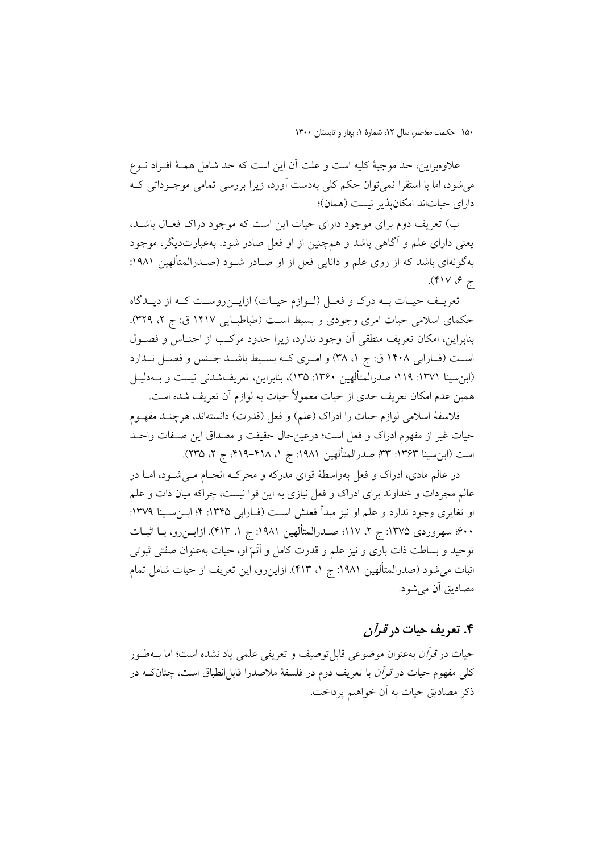علاوهبراين، حد موجبة كليه است و علت آن اين است كه حد شامل همـة افـراد نـوع ميشود، اما با استقرا نميتوان حكم كلي بهدست آورد، زيرا بررسي تمامي موجـوداتي كـه داراي حياتاند امكانپذير نيست (همان)؛

ب) تعريف دوم براي موجود داراي حيات اين است كه موجود دراك فعـال باشـد، يعني داراي علم و آگاهي باشد و همچنين از او فعل صادر شود. بهعبارتديگر، موجود بهگونهاي باشد كه از روي علم و دانايي فعل از او صـادر شـود ( صـدرالمتألهين :1981 ج ۶، ۴۱۷).

تعريــف حيــات بــه درك و فعــل (لــوازم حيــات) ازايــنروســت كــه از ديــدگاه حكماي اسلامي حيات امري وجودي و بسيط است (طباطبـايي ١۴١٧ ق: ج ٢، ٣٢٩). بنابراين، امكان تعريف منطقي آن وجود ندارد، زيرا حدود مركـب از اجنـاس و فصـول است (فـارابي ١۴٠٨ ق: ج ١، ٣٨) و امـري كــه بسـيط باشــد جـنس و فصـل نــدارد (ابنسينا :1371 119؛ صدرالمتألهين :1360 135)، بنابراين، تعريفشدني نيست و بـهدليـل همين عدم امكان تعريف حدي از حيات معمولاً حيات به لوازم آن تعريف شده است.

فلاسفة اسلامى لوازم حيات را ادراك (علم) و فعل (قدرت) دانستهاند، هرچنـد مفهـوم حيات غير از مفهوم ادراك و فعل است؛ درعينحال حقيقت و مصداق اين صـفات واحـد است (ابن سينا ١٣۶٣: ٣٣؛ صدرالمتألهين ١٩٨١: ج ١، ٣١٨-٢١٩، ج ٢، ٢٣٥).

در عالم مادى، ادراك و فعل بهواسطة قواى مدركه و محركـه انجـام مـىشـود، امـا در عالم مجردات و خداوند براى ادراك و فعل نيازى به اين قوا نيست، چراكه ميان ذات و علم او تغايرى وجود ندارد و علم او نيز مبدأ فعلش اسـت (فــارابي ١٣٢٥: ۴؛ ابـنسـينا ١٣٧٩: 600؛ سهروردي :1375 ج ،2 117؛ صـدرالمتألهين :1981 ج ،1 413). ازايـنرو، بـا اثبـات توحيد و بساطت ذات بارى و نيز علم و قدرت كامل و اَتَم او، حيات بهعنوان صفتى ثبوتى اثبات مىشود (صدرالمتألهين :1981 ج ،1 413). ازاينرو، اين تعريف از حيات شامل تمام مصاديق آن ميشود.

## **.4 تعريف حيات در قرآن**

حيات در قرآن بهعنوان موضوعي قابلتوصيف و تعريفي علمي ياد نشده است؛ اما بـهطـور كلي مفهوم حيات در *قرآن* با تعريف دوم در فلسفهٔ ملاصدرا قابل|نطباق است، چنانكـه در ذكر مصاديق حيات به آن خواهيم پرداخت.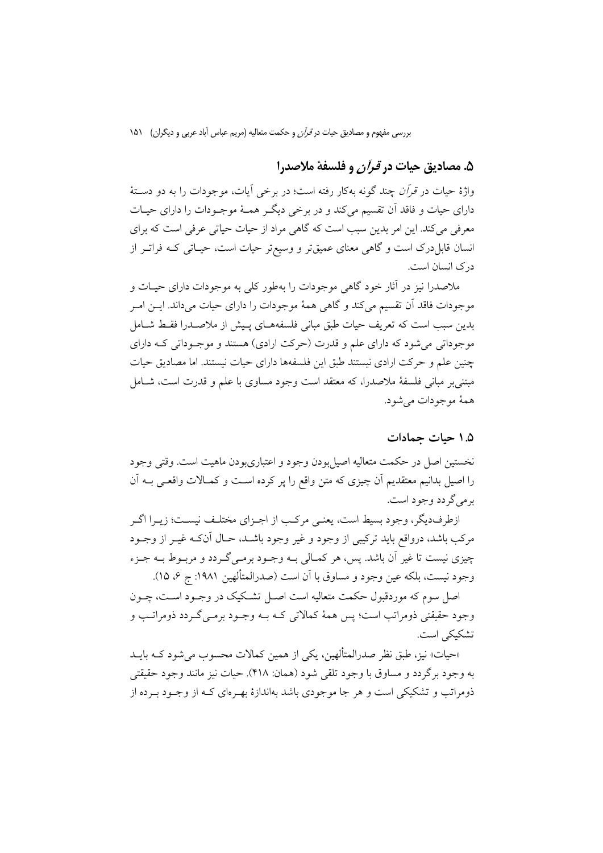### **.5 مصاديق حيات در قرآن و فلسفة ملاصدرا**

واژة حيات در قرآن چند گونه بهكار رفته است؛ در برخي آيات، موجودات را به دو دسـتة داراي حيات و فاقد آن تقسيم ميكند و در برخي ديگـر همـة موجـودات را داراي حيـات معرفي ميكند. اين امر بدين سبب است كه گاهي مراد از حيات حياتي عرفي است كه براي انسان قابلدرك است و گاهي معناي عميقتر و وسيعتر حيات است، حيـاتي كـه فراتـر از درك انسان است.

ملاصدرا نيز در آثار خود گاهي موجودات را بهطور كلي به موجودات داراي حيـات و موجودات فاقد آن تقسيم ميكند و گاهي همة موجودات را داراي حيات ميداند. ايـن امـر بدين سبب است كه تعريف حيات طبق مباني فلسفههـاي پـيش از ملاصـدرا فقـط شـامل موجوداتي ميشود كه داراي علم و قدرت (حركت ارادي) هستند و موجـوداتي كـه داراي چنين علم و حركت ارادي نيستند طبق اين فلسفهها داراي حيات نيستند. اما مصاديق حيات مبتنيبر مباني فلسفة ملاصدرا، كه معتقد است وجود مساوي با علم و قدرت است، شـامل همة موجودات ميشود.

### **1.5 حيات جمادات**

نخستين اصل در حكمت متعاليه اصيلبودن وجود و اعتباريبودن ماهيت است. وقتي وجود را اصيل بدانيم معتقديم آن چيزي كه متن واقع را پر كرده اسـت و كمـالات واقعـي بـه آن برميگردد وجود است.

ازطرفديگر، وجود بسيط است، يعنـي مركـب از اجـزاي مختلـف نيسـت؛ زيـرا اگـر مركب باشد، درواقع بايد تركيبي از وجود و غير وجود باشـد، حـال آنكـه غيـر از وجـود چيزي نيست تا غير آن باشد. پس، هر كمـالي بـه وجـود برمـيگـردد و مربـوط بـه جـزء وجود نيست، بلكه عين وجود و مساوق با آن است (صدرالمتألهين :1981 ج ،6 15).

اصل سوم كه موردقبول حكمت متعاليه است اصـل تشـكيك در وجـود اسـت، چـون وجود حقيقتي ذومراتب است؛ پس همة كمالاتي كـه بـه وجـود برمـيگـردد ذومراتـب و تشكيكي است.

«حيات» نيز، طبق نظر صدرالمتألهين، يكي از همين كمالات محسوب ميشود كـه بايـد به وجود برگردد و مساوق با وجود تلقي شود (همان: 418). حيات نيز مانند وجود حقيقتي ذومراتب و تشكيكي است و هر جا موجودي باشد بهاندازة بهـرهاي كـه از وجـود بـرده از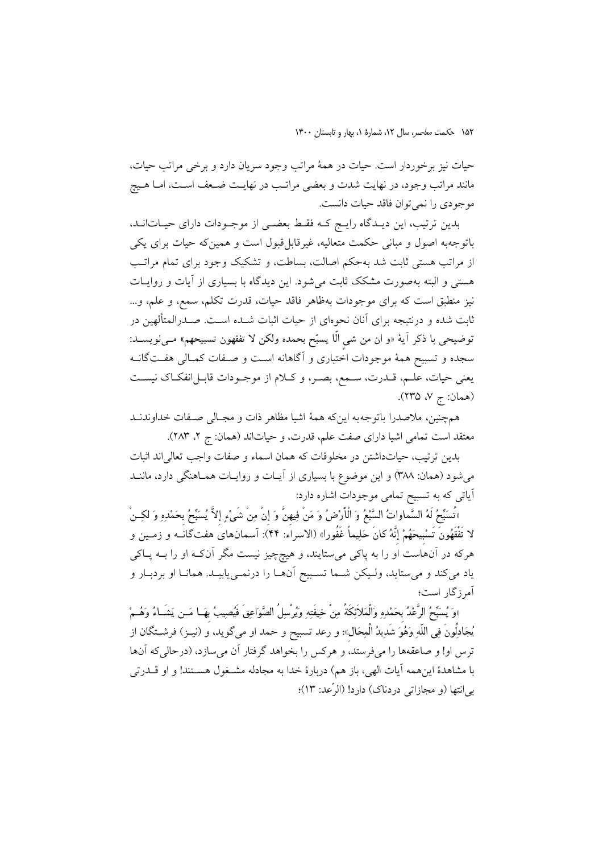حيات نيز برخوردار است. حيات در همة مراتب وجود سريان دارد و برخي مراتب حيات، مانند مراتب وجود، در نهايت شدت و بعضي مراتـب در نهايـت ضـعف اسـت، امـا هـيچ موجودي را نميتوان فاقد حيات دانست.

بدين ترتيب، اين ديـدگاه رايـج كـه فقـط بعضـي از موجـودات داراي حيـاتانـد، باتوجهبه اصول و مباني حكمت متعاليه، غيرقابلقبول است و همينكه حيات براي يكي از مراتب هستي ثابت شد بهحكم اصالت، بساطت، و تشكيك وجود براي تمام مراتـب هستي و البته بهصورت مشكك ثابت ميشود. اين ديدگاه با بسياري از آيات و روايـات نيز منطبق است كه براي موجودات بهظاهر فاقد حيات، قدرت تكلم، سمع، و علم، و... ثابت شده و درنتيجه براي آنان نحوهاي از حيات اثبات شـده اسـت. صـدرالمتألهين در توضيحي با ذكر آية «و ان من شيٍ الّا يسبح بحمده ولكن لا تفقهون تسبيحهم**»** مـينويسـد: سجده و تسبيح همة موجودات اختياري و آگاهانه اسـت و صـفات كمـالي هفـتگانـه يعني حيات، علـم، قــدرت، سـمع، بصـر، و كــلام از موجـودات قابـل|نفكـاك نيسـت (همان: ج ۷، ۲۳۵).

همچنين، ملاصدرا باتوجهبه اينكه همة اشيا مظاهر ذات و مجـالي صـفات خداوندنـد معتقد است تمامی اشيا دارای صفت علم، قدرت، و حياتاند (همان: ج ۲، ۲۸۳).

بدين ترتيب، حياتداشتن در مخلوقات كه همان اسماء و صفات واجب تعالياند اثبات ميشود (همان: 388) و اين موضوع با بسياري از آيـات و روايـات همـاهنگي دارد، ماننـد آياتي كه به تسبيح تمامي موجودات اشاره دارد:

«تُسَبِّحُ لَهُ السَّماواتُ السَّبْعُ وَ الْأَرْضُ وَ مَنْ فِيهِنَّ وَ إِنْ مِنْ شَيْءٍ إِلاَّ يُسَبِّحُ بِحَمْدِهِ وَ لكِـنْ لا تَفْ َقهونَ تَسبِيحهم إِنَّه كانَ حليماً غَفُورا» (الاسراء: 44): آسمانهاى هفتگانـه و زمـين و هركه در آنهاست او را به پاكى مىستايند، و هيچچيز نيست مگر آنكـه او را بـه پـاكى ياد مىكند و مىستايد، ولـيكن شـما تسـبيح آنهـا را درنمـىيابيـد. همانـا او بردبـار و آمرزگار است؛

«وَ يُسبَّحُ الرَّعْدُ بِحَمْدِهِ وَالْمَلاَئِكَةُ مِنْ خِيفَتِهِ وَيُرْسِلُ الصَّوَاعِقَ فَيُصِيبُ بِهَـا مَــن يَشَــاءُ وَهُــمْ يجادلُونَ في اللّه وهو شَديد الْمحالِ»: و رعد تسبيح و حمد او مىگويد، و (نيـز) فرشـتگان از ترس او! و صاعقهها را مى فرستد، و هركس را بخواهد گرفتار آن مىسازد، (درحالى كه آنها با مشاهدة اينهمه آيات الهى، باز هم) دربارة خدا به مجادله مشـغول هسـتند! و او قـدرتى بىانتها (و مجازاتى دردناك) دارد! (الرّعد: 13)؛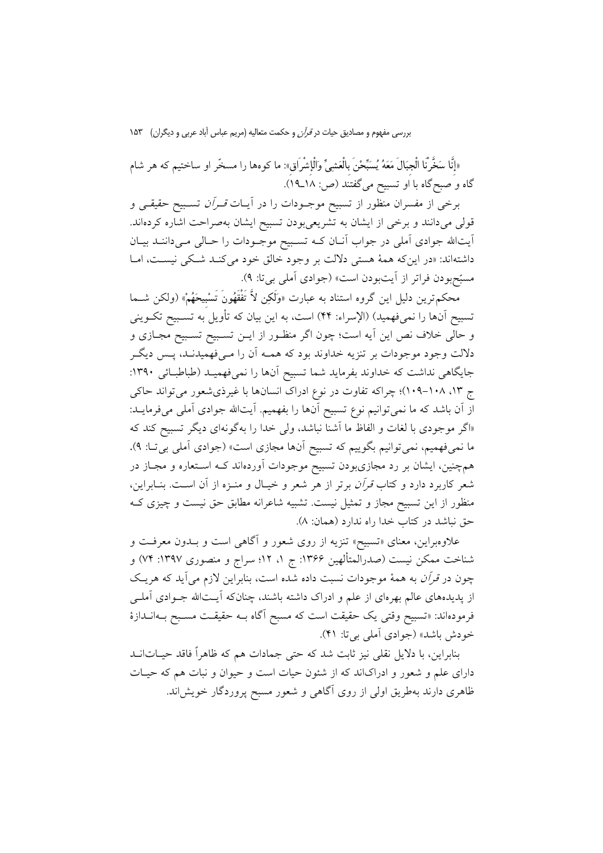«إِنَّا سخَّرْنَا الْجِبالَ معه يسبحنَ بِالْعشي والْإِشْرَاقِ»: ما كوهها را مسخّر او ساختيم كه هر شام گاه و صبحگاه با او تسبيح مىگفتند (ص: 18ـ19).

برخي از مفسران منظور از تسبيح موجـودات را در آيـات قـرآن تسـبيح حقيقـي و قولي ميدانند و برخي از ايشان به تشريعيبودن تسبيح ايشان بهصراحت اشاره كردهاند. آيتاالله جوادي آملي در جواب آنـان كـه تسـبيح موجـودات را حـالي مـيداننـد بيـان داشتهاند: «در اينكه همهٔ هستي دلالت بر وجود خالق خود مي كنـد شـكي نيسـت، امـا مسبحبودن فراتر از آيتبودن است» (جوادي آملي بيتا: 9).

محكمترين دليل اين گروه استناد به عبارت «ولَكن لاَّ تَفْقَهونَ تَسبِيحهم) «ولكن شـما تسبيح آنها را نميفهميد) (الإسراء: 44) است، به اين بيان كه تأويل به تسـبيح تكـويني و حالي خلاف نص اين آيه است؛ چون اگر منظـور از ايـن تسـبيح تسـبيح مجـازي و دلالت وجود موجودات بر تنزيه خداوند بود كه همـه آن را مـيفهميدنـد، پـس ديگـر جايگاهي نداشت كه خداوند بفرمايد شما تسبيح آنها را نميفهميـد (طباطبـائي :1390 ج ،13 109-108)؛ چراكه تفاوت در نوع ادراك انسانها با غيرذيشعور ميتواند حاكي از آن باشد كه ما نميتوانيم نوع تسبيح آنها را بفهميم. آيتاالله جوادي آملي ميفرمايـد: «اگر موجودي با لغات و الفاظ ما آشنا نباشد، ولي خدا را بهگونهاي ديگر تسبيح كند كه ما نميفهميم، نميتوانيم بگوييم كه تسبيح آنها مجازي است» (جوادي آملي بيتـا: 9)**.**  همچنين، ايشان بر رد مجازيبودن تسبيح موجودات آوردهاند كـه اسـتعاره و مجـاز در شعر كاربرد دارد و كتاب قرآن برتر از هر شعر و خيـال و منـزه از آن اسـت. بنـابراين، منظور از اين تسبيح مجاز و تمثيل نيست. تشبيه شاعرانه مطابق حق نيست و چيزي كـه حق نباشد در كتاب خدا راه ندارد (همان: 8).

علاوهبراين، معناي «تسبيح» تنزيه از روي شعور و آگاهي است و بـدون معرفـت و شناخت ممكن نيست (صدرالمتألهين :1366 ج ،1 12؛ سراج و منصوري :1397 74) و چون در قرآن به همة موجودات نسبت داده شده است، بنابراين لازم ميآيد كه هريـك از پديدههاي عالم بهرهاي از علم و ادراك داشته باشند، چنانكه آيـتاالله جـوادي آملـي فرمودهاند: «تسبيح وقتي يك حقيقت است كه مسبح آگاه بـه حقيقـت مسـبح بـهانـدازة خودش باشد» (جوادي آملي بيتا: 41).

بنابراين، با دلايل نقلي نيز ثابت شد كه حتي جمادات هم كه ظاهراً فاقد حيـاتانـد داراي علم و شعور و ادراكاند كه از شئون حيات است و حيوان و نبات هم كه حيـات ظاهري دارند بهطريق اولي از روي آگاهي و شعور مسبح پروردگار خويشاند.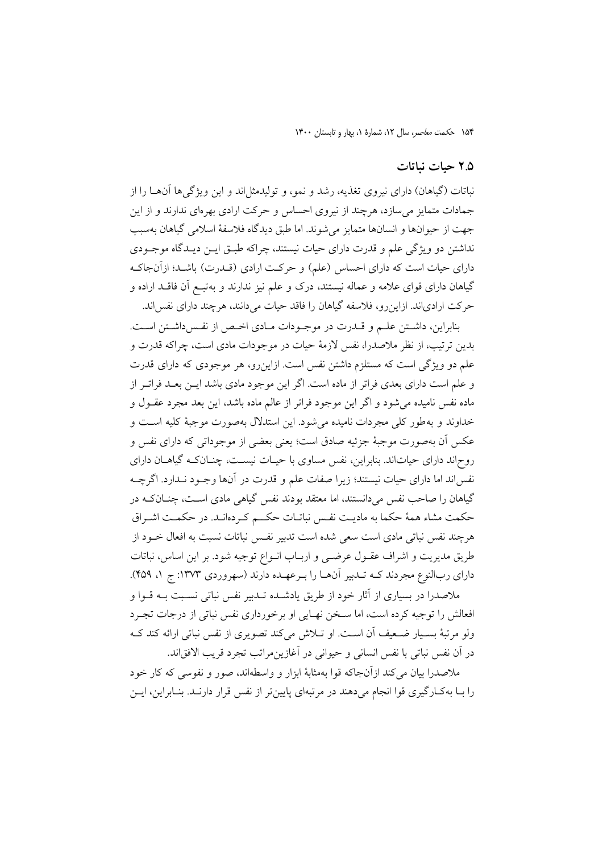### **2.5 حيات نباتات**

نباتات (گياهان) داراي نيروي تغذيه، رشد و نمو، و توليدمثلاند و اين ويژگيها آنهـا را از جمادات متمايز ميسازد، هرچند از نيروي احساس و حركت ارادي بهرهاي ندارند و از اين جهت از حيوانها و انسانها متمايز ميشوند. اما طبق ديدگاه فلاسفة اسلامي گياهان بهسبب نداشتن دو ويژگي علم و قدرت داراي حيات نيستند، چراكه طبـق ايـن ديـدگاه موجـودي داراي حيات است كه داراي احساس (علم) و حركـت ارادي (قـدرت) باشـد؛ ازآنجاكـه گياهان داراي قواي علامه و عماله نيستند، درك و علم نيز ندارند و بهتبـع آن فاقـد اراده و حركت ارادياند. ازاينرو، فلاسفه گياهان را فاقد حيات ميدانند، هرچند داراي نفساند.

بنابراين، داشـتن علـم و قـدرت در موجـودات مـادي اخـص از نفـسداشـتن اسـت. بدين ترتيب، از نظر ملاصدرا، نفس لازمة حيات در موجودات مادي است، چراكه قدرت و علم دو ويژگي است كه مستلزم داشتن نفس است. ازاينرو، هر موجودي كه داراي قدرت و علم است داراي بعدي فراتر از ماده است. اگر اين موجود مادي باشد ايـن بعـد فراتـر از ماده نفس ناميده ميشود و اگر اين موجود فراتر از عالم ماده باشد، اين بعد مجرد عقـول و خداوند و بهطور كلي مجردات ناميده ميشود. اين استدلال بهصورت موجبة كليه اسـت و عكس آن بهصورت موجبة جزئيه صادق است؛ يعني بعضي از موجوداتي كه داراي نفس و روحاند داراي حياتاند. بنابراين، نفس مساوي با حيـات نيسـت، چنـانكـه گياهـان داراي نفساند اما داراي حيات نيستند؛ زيرا صفات علم و قدرت در آنها وجـود نـدارد. اگرچـه گياهان را صاحب نفس ميدانستند، اما معتقد بودند نفس گياهي مادي اسـت، چنـانكـه در حكمت مشاء همة حكما به ماديـت نفـس نباتـات حكــم كـردهانـد. در حكمـت اشـراق هرچند نفس نباتي مادي است سعي شده است تدبير نفـس نباتات نسبت به افعال خـود از طريق مديريت و اشراف عقـول عرضـي و اربـاب انـواع توجيه شود. بر اين اساس، نباتات داراي ربالنوع مجردند كـه تـدبير آنهـا را بـرعهـده دارند (سهروردي :1373 ج ،1 459). ملاصدرا در بسياري از آثار خود از طريق يادشـده تـدبير نفس نباتي نسـبت بـه قـوا و افعالش را توجيه كرده است، اما سـخن نهـايي او برخورداري نفس نباتي از درجات تجـرد

ولو مرتبة بسـيار ضـعيف آن اسـت. او تـلاش ميكند تصويري از نفس نباتي ارائه كند كـه در آن نفس نباتي با نفس انساني و حيواني در آغازينمراتب تجرد قريب الافقاند.

ملاصدرا بيان ميكند ازآنجاكه قوا بهمثابة ابزار و واسطهاند، صور و نفوسي كه كار خود را بـا بهكـارگيري قوا انجام ميدهند در مرتبهاي پايينتر از نفس قرار دارنـد. بنـابراين، ايـن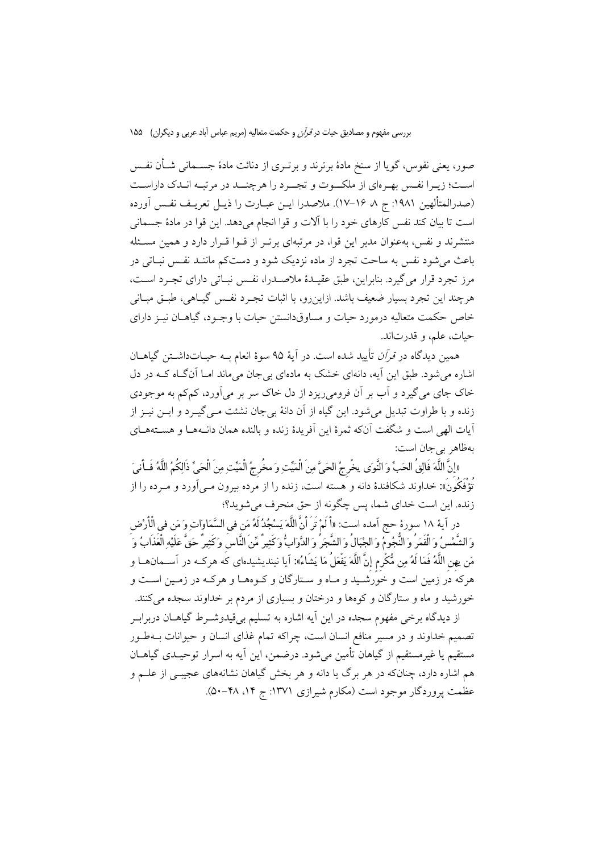صور، يعني نفوس، گويا از سنخ مادة برترند و برتـري از دنائت مادة جسـماني شـأن نفـس اسـت؛ زيـرا نفـس بهـرهاي از ملكــوت و تجــرد را هرچنــد در مرتبـه انـدك داراسـت (صدرالمتألهين :1981 ج ،8 17-16). ملاصدرا ايـن عبـارت را ذيـل تعريـف نفـس آورده است تا بيان كند نفس كارهاي خود را با آلات و قوا انجام ميدهد. اين قوا در مادة جسماني منتشرند و نفس، بهعنوان مدبر اين قوا، در مرتبهاي برتـر از قـوا قـرار دارد و همين مسـئله باعث ميشود نفس به ساحت تجرد از ماده نزديك شود و دستكم ماننـد نفـس نبـاتي در مرز تجرد قرار ميگيرد. بنابراين، طبق عقيـدة ملاصـدرا، نفـس نبـاتي داراي تجـرد اسـت، هرچند اين تجرد بسيار ضعيف باشد. ازاينرو، با اثبات تجـرد نفـس گيـاهي، طبـق مبـاني خاص حكمت متعاليه درمورد حيات و مساوقدانستن حيات با وجـود، گياهـان نيـز داراي حيات، علم، و قدرتاند.

همين ديدگاه در قرآن تأييد شده است. در آية 95 سوة انعام بـه حيـاتداشـتن گياهـان اشاره ميشود. طبق اين آيه، دانهاي خشك به مادهاي بيجان ميماند امـا آنگـاه كـه در دل خاك جاي ميگيرد و آب بر آن فروميريزد از دل خاك سر بر ميآورد، كمكم به موجودي زنده و با طراوت تبديل ميشود. اين گياه از آن دانة بيجان نشئت مـيگيـرد و ايـن نيـز از آيات الهي است و شگفت آنكه ثمرة اين آفريدة زنده و بالنده همان دانـههـا و هسـتههـاي بهظاهر بيجان است:

«إِنَّ اللَّهَ فَالِقُ الحَبِّ وَ النَّوى يخْرِجُ الحَيَّ مِنَ الْمَيِّتِ وَ مخُرِجُ الْمَيِّتِ مِنَ الْحَيِّ ذَالِكُمُ اللَّهُ فَـأَنِيَ تُؤْفَكُونَ**»:** خداوند شكافندة دانه و هسته است، زنده را از مرده بيرون مـيآورد و مـرده را از زنده. اين است خداي شما، پس چگونه از حق منحرف ميشويد؟؛

در آية 18 سورة حج آمده است: **«**أَ لَم تَرَ أَنَّ اللَّه يسجد لَه من فىِ السماواتو من فىِ الْأَرضِ جُومُ وَ الْجْبَالُ وَ الشَّجَرِ وَ الدَّوَابِّ وَكَثِيرٍ مِّن الناسِ وَكَثِيرٍ حَقِّ عَلَيْهِ الْعَذَابُ وَ ُّ مَن يهِن اللَّهُ فَمَا لَهُ مِن مُّكْرِمٍ إِنَّ اللَّهَ يَفْعَلُ مَا يَشَاءُ»: آيا نينديشيدهاي كه هركــه در آســمانهــا و هركه در زمين است و خورشـيد و مـاه و سـتارگان و كـوههـا و هركـه در زمـين اسـت و خورشيد و ماه و ستارگان و كوهها و درختان و بسياري از مردم بر خداوند سجده ميكنند.

از ديدگاه برخي مفهوم سجده در اين آيه اشاره به تسليم بيقيدوشـرط گياهـان دربرابـر تصميم خداوند و در مسير منافع انسان است، چراكه تمام غذاي انسان و حيوانات بـهطـور مستقيم يا غيرمستقيم از گياهان تأمين ميشود. درضمن، اين آيه به اسرار توحيـدي گياهـان هم اشاره دارد، چنانكه در هر برگ يا دانه و هر بخش گياهان نشانههاي عجيبـي از علـم و عظمت پروردگار موجود است (مكارم شيرازي ١٣٧١: ج ١۴، ٢٨-۵٠).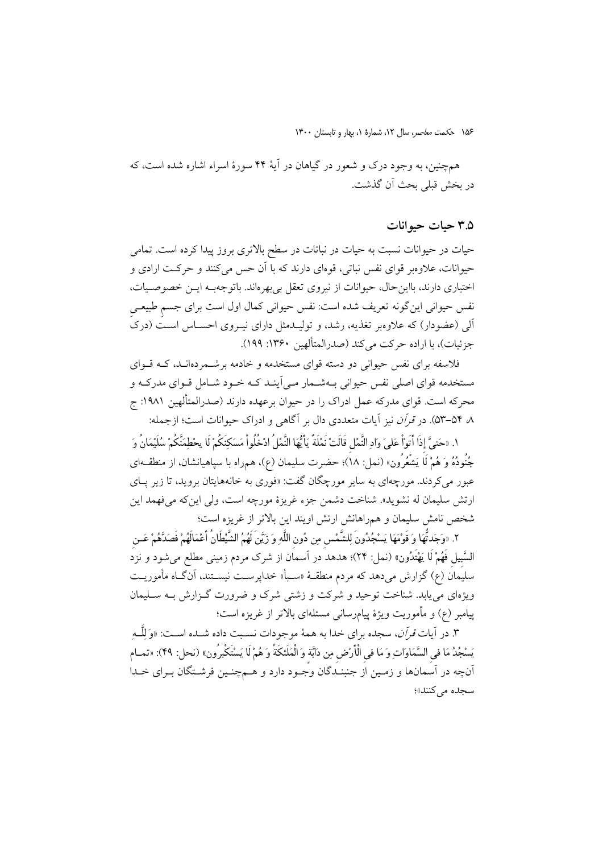همچنين، به وجود درك و شعور در گياهان در آية 44 سورة اسراء اشاره شده است، كه در بخش قبلي بحث آن گذشت.

### **3.5 حيات حيوانات**

حيات در حيوانات نسبت به حيات در نباتات در سطح بالاتري بروز پيدا كرده است. تمامي حيوانات، علاوهبر قواي نفس نباتي، قوهاي دارند كه با آن حس ميكنند و حركـت ارادي و اختياري دارند، بااينحال، حيوانات از نيروي تعقل بيبهرهاند. باتوجهبـه ايـن خصوصـيات، نفس حيواني اينگونه تعريف شده است: نفس حيواني كمال اول است براي جسمِ طبيعـيِ آلي (عضودار) كه علاوهبر تغذيه، رشد، و توليـدمثل داراي نيـروي احسـاس اسـت (درك جزئيات)، با اراده حركت ميكند (صدرالمتألهين :1360 199).

فلاسفه براي نفس حيواني دو دسته قواي مستخدمه و خادمه برشـمردهانـد، كـه قـواي مستخدمه قواي اصلي نفس حيواني بـهشـمار مـيآينـد كـه خـود شـامل قـواي مدركـه و محركه است. قواي مدركه عمل ادراك را در حيوان برعهده دارند (صدرالمتألهين :1981 ج ،8 53-54). در قرآن نيز آيات متعددي دال بر آگاهي و ادراك حيوانات است؛ ازجمله:

١. «حَتىَّ إذَا أَتَوْاْ عَلَىَ وَادِ النَّمْلِ قَالَتْ نَمْلَةٌ يَا يُّهَا النَّمْلُ ادْخُلُواْ مَسَكِنَكُمْ لَا يحْطِمَنَّكُمْ سُلَيْمَانُ وَ ֖֖֖֖֧֢ׅ֧֧֧֧ׅ֧֧ׅ֧֧֧֧֧֧֧֚֚֚֚֚֚֚֚֚֚֚֚֚֚֡֝֓֓֡֬֓֓֞֓֡֬֓֓֞֓֡֬֓֓֞֓֡֬֓֓֬֓֓֡֬֓֓֝֬֝֬֜֓֝֬֜֓֬֬֝֬֬֝֬֝֬֜<br>֧֪֪֪֪֪֪֪֪֪֪֪֪֪֪֪֪֪֪֪֪֜֝ جُنُودُهُ وَ هُمْ لَا يَشْعُرُون» (نمل: ١٨)؛ حضرت سليمان (ع)، همراه با سپاهيانشان، از منطقــهاي عبور ميكردند. مورچهاي به ساير مورچگان گفت: «فوري به خانههايتان برويد، تا زير پـاي ارتش سليمان له نشويد». شناخت دشمن جزء غريزة مورچه است، ولي اينكه ميفهمد اين شخص نامش سليمان و همراهانش ارتش اويند اين بالاتر از غريزه است؛

٢. «وَجَدتَّهَا وَ قَوْمَهَا يَسْجُدُونَ لِلشَّمْسِ مِن دُونِ اللَّهِ وَ زَيَّنَ لَهُمُ الشَّيْطَانُ أَعْمَالَهُمْ فَصَدَّهُمْ عَــنِ ُّ .2 «وجدتالسبِيلِ فَهم لَا يهتَدون**»** (نمل: 24)؛ هدهد در آسمان از شرك مردم زميني مطلع ميشود <sup>و</sup> نزد سليمان (ع) گزارش ميدهد كه مردم منطقـة «سـبأ» خداپرسـت نيسـتند، آنگـاه مأموريـت ويژهاي مييابد. شناخت توحيد و شركت و زشتي شرك و ضرورت گـزارش بـه سـليمان پيامبر (ع) و مأموريت ويژة پيامرساني مسئلهاي بالاتر از غريزه است؛

.3 در آيات قرآن، سجده براي خدا به همة موجودات نسـبت داده شـده اسـت: **«**و للَّـه يَسْجُدُ مَا في السَّمَاوَاتِ وَ مَا في الْأَرْضِ مِن دَابَّة وَ الْمَلَئكَةُ وَ هُمْ لَا يَسْتَكْبرُونِ» (نحل: 49): «تمـام آنچه در آسمانها و زمـين از جنبنـدگان وجـود دارد و هـمچنـين فرشـتگان بـراي خـدا سجده مي كنند»؛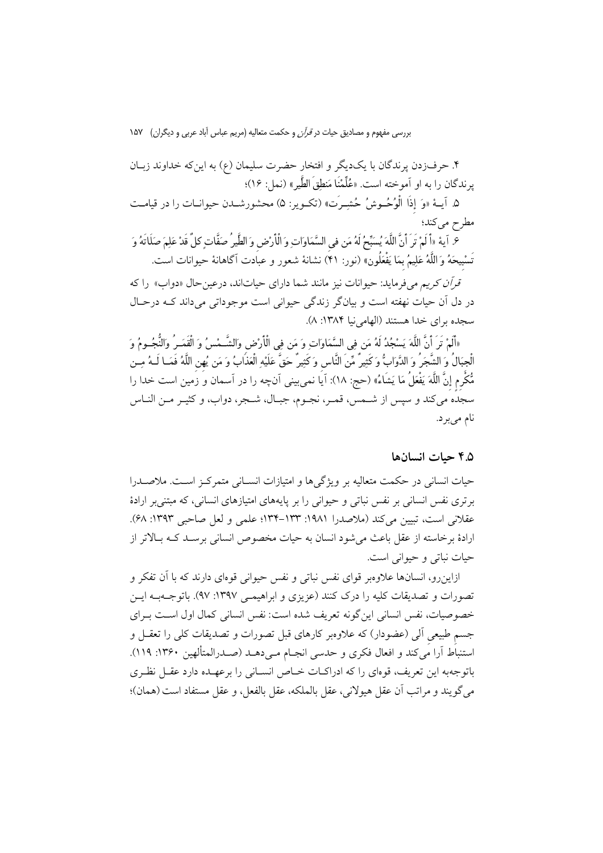.4 حرفزدن پرندگان با يكديگر و افتخار حضرت سليمان (ع) به اينكه خداوند زبـان پرندگان را به او آموخته است. «علِّمنَا منطقَ الطَّير**»** (نمل: 16)؛

.5 آيـة «و إِذَا الْوحـوش حشـرَت**»** (تكـوير: 5) محشورشـدن حيوانـات را در قيامـت مطرح مي كند؛

.6 آية «أَ لَمْ تَرَ أَنَّ اللَّهَ يُسَبِّحُ لَهُ مَن فى السَّمَاوَاتِ وَ الْأَرْضِ وَ الظَّيرُ صَفَّاتٍ كلٌ قَدْ عَلِمَ صَلَاتَهُ وَ تَسبِيحه و اللَّهعليم بِما يفْعلُون**»** (نور: 41) نشانة شعور و عبادت آگاهانة حيوانات است.

قرآن كريم ميفرمايد: حيوانات نيز مانند شما داراي حياتاند، درعينحال «دواب» را كه در دل آن حيات نهفته است و بيانگر زندگي حيواني است موجوداتي ميداند كـه درحـال سجده براي خدا هستند (الهامينيا :1384 8).

«أَلَمْ تَرِ أَنَّ اللَّهَ يَسْجُدُ لَهُ مَن فِي السَّمَاوَاتِ وَ مَن فِي الْأَرْضِ وَالشَّـمْسُ وَ الْقَمَـرُ وَالنُّجُـومُ وَ ؚ<br>֧֖֟֟֓֟֓֟֓֟֬֟֓֟֓֟֓֟֡֟֟֟֬֟֓֟֬֟֩֬֟֓֟֬֟֩֕֓֟֓֟֬֝֟֓֕֬֩֩ «المْ تر ان اللهَ يَسْجُدُ لهُ مَن فِي السَّمَاوَاتِ وَ مَن فِي الْأَرْضِ وَالشَــمْسُ وَ الْقَمَــرِ وَالنجُــومُ وَ<br>لْجِبَالُ وَ الشَّجَرُ وَ الدَّوَابُّ وَكَثِيرٌ مِّنَ النَّاسِ وَكَثِيرٌ حَقَّ عَلَيْهِ الْعَذَابُ وَ م مكْرِمٍ إِنَّ اللَّه يفْعلُ ما يشَاء) **«**حج: 18): آيا نميبيني آنچه را در آسمان و زمين است خدا را سجده ميكند و سپس از شـمس، قمـر، نجـوم، جبـال، شـجر، دواب، و كثيـر مـن النـاس نام ميبرد.

### **4.5 حيات انسانها**

حيات انساني در حكمت متعاليه بر ويژگيها و امتيازات انسـاني متمركـز اسـت. ملاصـدرا برتري نفس انساني بر نفس نباتي و حيواني را بر پايههاي امتيازهاي انساني، كه مبتنيبر ارادة عقلاني است، تبيين مي كند (ملاصدرا ١٩٨١: ١٣٣-١٣٤: علمي و لعل صاحبي ١٣٩٣: ۶٨). ارادة برخاسته از عقل باعث ميشود انسان به حيات مخصوص انساني برسـد كـه بـالاتر از حيات نباتي و حيواني است.

ازاينرو، انسانها علاوهبر قواي نفس نباتي و نفس حيواني قوهاي دارند كه با آن تفكر و تصورات و تصديقات كليه را درك كنند (عزيزي و ابراهيمـي :1397 97). باتوجـهبـه ايـن خصوصيات، نفس انساني اينگونه تعريف شده است: نفس انساني كمال اول اسـت بـراي جسمِ طبيعيِ آلي (عضودار) كه علاوهبر كارهاي قبل تصورات و تصديقات كلي را تعقـل و استنباط آرا ميكند و افعال فكري و حدسي انجـام مـيدهـد (صـدرالمتألهين :1360 119). باتوجهبه اين تعريف، قوهاي را كه ادراكـات خـاص انسـاني را برعهـده دارد عقـل نظـري ميگويند و مراتب آن عقل هيولاني، عقل بالملكه، عقل بالفعل، و عقل مستفاد است(همان)؛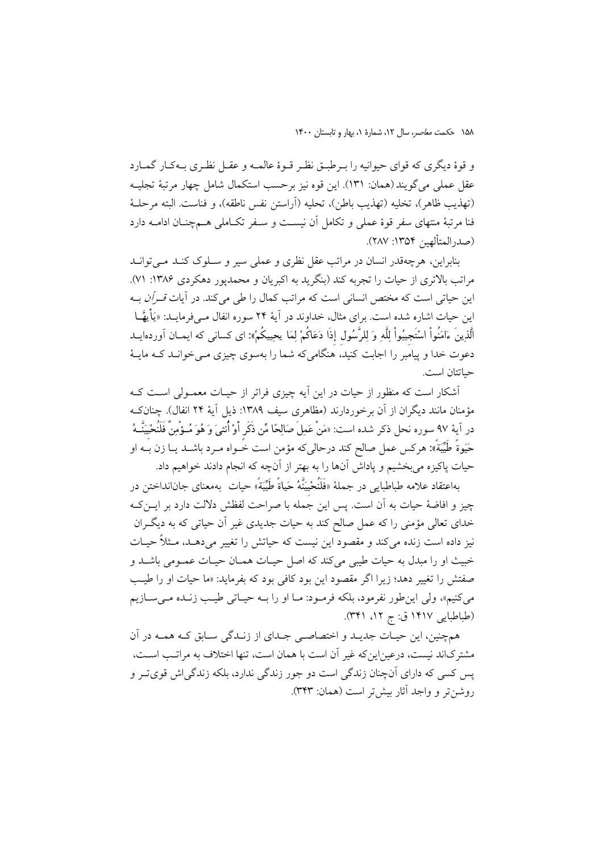و قوة ديگري كه قواي حيوانيه را بـرطبـق نظـر قـوة عالمـه و عقـل نظـري بـهكـار گمـارد عقل عملي ميگويند (همان: 131). اين قوه نيز برحسب استكمال شامل چهار مرتبة تجليـه (تهذيب ظاهر)، تخليه (تهذيب باطن)، تحليه (آراستن نفس ناطقه)، و فناست. البته مرحلـة فنا مرتبة منتهاى سفر قوة عملى و تكامل آن نيسـت و سـفر تكـاملى هـمچنـان ادامـه دارد (صدرالمتألهين :1354 287).

بنابراين، هرچهقدر انسان در مراتب عقل نظري و عملي سير و سـلوك كنـد مـيتوانـد مراتب بالاتري از حيات را تجربه كند (بنگريد به اكبريان و محمدپور دهكردي :1386 71). اين حياتي است كه مختص انساني است كه مراتب كمال را طي مي كند. در آيات *قـرآن* بـه اين حيات اشاره شده است. براي مثال، خداوند در آية 24 سوره انفال مـيفرمايـد: «يأَيهـا الَّذينَ ءامنُواْ استَجِيبواْ للَّه و للرَّسولِ إِذَا دعاكُم لما يحييكُم**«:** اى كسانى كه ايمـان آوردهايـد دعوت خدا و پيامبر را اجابت كنيد، هنگامىكه شما را بهسوى چيزى مـىخوانـد كـه مايـة حياتتان است.

آشكار است كه منظور از حيات در اين آيه چيزي فراتر از حيـات معمـولي اسـت كـه مؤمنان مانند ديگران از آن برخوردارند (مظاهري سيف :1389 ذيل آية 24 انفال). چنانكـه در آية ٩٧ سوره نحل ذكر شده است: «مَنْ عَمِلَ صَالِحًا مِّن ذَكَرٍ أَوْ أُنثىَ وَ هُوَ مُـؤْمِنٌ فَلَنُحْيِيَنَّــهُ حيوةً طَيبةً**»:** هركس عمل صالح كند درحالىكه مؤمن است خـواه مـرد باشـد يـا زن بـه او حيات پاكيزه مىبخشيم و پاداش آنها را به بهتر از آنچه كه انجام دادند خواهيم داد.

بهاعتقاد علامه طباطبايي در جملة «فَلَنُحيِينَّه حياةً َطيبةً» حيات بهمعناى جانانداختن در چيز و افاضة حيات به آن است. پس اين جمله با صراحت لفظش دلالت دارد بر ايـنكـه خداى تعالى مؤمنى را كه عمل صالح كند به حيات جديدى غير آن حياتى كه به ديگـران نيز داده است زنده مىكند و مقصود اين نيست كه حياتش را تغيير مىدهـد، مـثلاً حيـات خبيث او را مبدل به حيات طيبى مىكند كه اصل حيـات همـان حيـات عمـومى باشـد و صفتش را تغيير دهد؛ زيرا اگر مقصود اين بود كافى بود كه بفرمايد: «ما حيات او را طيـب مىكنيم»، ولى اينطور نفرمود، بلكه فرمـود: مـا او را بـه حيـاتى طيـب زنـده مـىسـازيم (طباطبايي 1417 ق: ج ،12 341).

همچنين، اين حيـات جديـد و اختصاصـى جـداى از زنـدگى سـابق كـه همـه در آن مشتركاند نيست، درعيناينكه غير آن است با همان است، تنها اختلاف به مراتـب اسـت، پس كسى كه داراى آنچنان زندگى است دو جور زندگى ندارد، بلكه زندگياش قوىتـر و روشنتر و واجد آثار بيشتر است (همان: 343).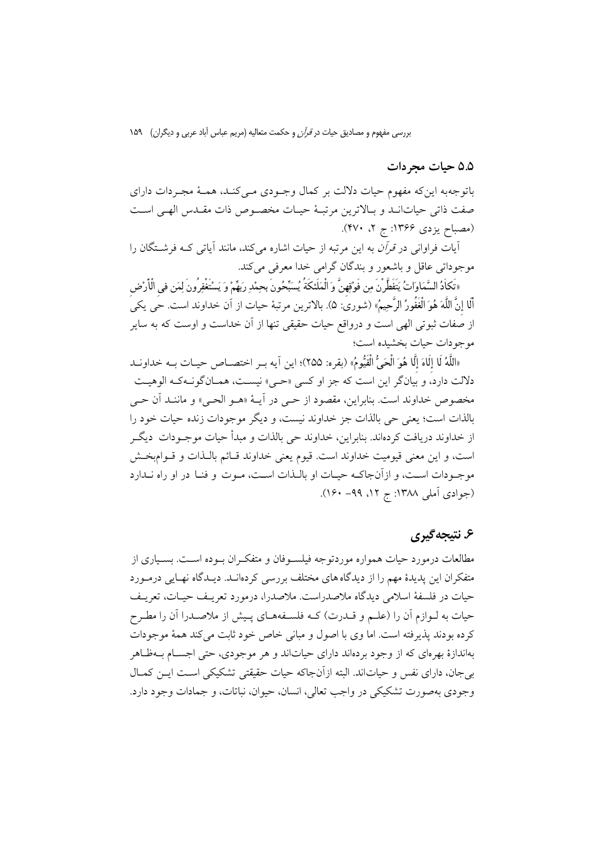**5.5 حيات مجردات**

باتوجهبه اينكه مفهوم حيات دلالت بر كمال وجـودي مـيكنـد، همـة مجـردات داراي صفت ذاتي حياتانـد و بـالاترين مرتبـة حيـات مخصـوص ذات مقـدس الهـي اسـت (مصباح يزدي ۱۳۶۶: ج ۲، ۴۷۰).

آيات فراواني در قرآن به اين مرتبه از حيات اشاره ميكند، مانند آياتي كـه فرشـتگان را موجوداتي عاقل و باشعور و بندگان گرامي خدا معرفي ميكند.

«تَكاَدُ السَّمَاوَاتُ يَتَفَطَّرْنَ مِن فَوْقِهِنَّ وَ الْمَلَئكَةُ يُسَبِّحُونَ بحِمْدِ رَبَهِّمْ وَ يَسْتَغْفِرُونَ لِمَن في الْأَرْضِ أَلَا إِنَّ اللَّه هو الْغَفُور الرَّحيم) «شوري: 5). بالاترين مرتبة حيات از آن خداوند است. حي يكي از صفات ثبوتي الهي است و درواقع حيات حقيقي تنها از آن خداست و اوست كه به ساير موجودات حيات بخشيده است؛

«اللهُ لَا إِلَّاهَ إِلَّا هُوَ الْحَيَّ القَيْومُ» (بقره: ٢٥٥)؛ اين ايه بـر اختصــاص حيــات بــه خداونــد دلالت دارد، و بيانگر اين است كه جز او كسي «حـي» نيسـت، همـانگونـهكـه الوهيـت مخصوص خداوند است. بنابراين، مقصود از حـي در آيـة «هـو الحـي» و ماننـد آن حـي بالذات است؛ يعني حي بالذات جز خداوند نيست، و ديگر موجودات زنده حيات خود را از خداوند دريافت كردهاند. بنابراين، خداوند حي بالذات و مبدأ حيات موجـودات ديگـر است، و اين معني قيوميت خداوند است. قيوم يعني خداوند قـائم بالـذات و قـوامبخـش موجـودات اسـت، و ازآنجاكـه حيـات او بالـذات اسـت، مـوت و فنـا در او راه نـدارد (جوادي آملي ١٣٨٨: ج ١٢، ٩٩- ١۶٠).

### **.6 نتيجهگيري**

مطالعات درمورد حيات همواره موردتوجه فيلسـوفان و متفكـران بـوده اسـت. بسـياري از متفكران اين پديدة مهم را از ديدگاههاي مختلف بررسي كردهانـد. ديـدگاه نهـايي درمـورد حيات در فلسفة اسلامي ديدگاه ملاصدراست. ملاصدرا، درمورد تعريـف حيـات، تعريـف حيات به لـوازم آن را (علـم و قـدرت) كـه فلسـفههـاي پـيش از ملاصـدرا آن را مطـرح كرده بودند پذيرفته است. اما وي با اصول و مباني خاص خود ثابت ميكند همة موجودات بهاندازة بهرهاي كه از وجود بردهاند داراي حياتاند و هر موجودي، حتي اجسـام بـهظـاهر بيجان، داراي نفس و حياتاند. البته ازآنجاكه حيات حقيقتي تشكيكي اسـت ايـن كمـال وجودي بهصورت تشكيكي در واجب تعالي، انسان، حيوان، نباتات، و جمادات وجود دارد.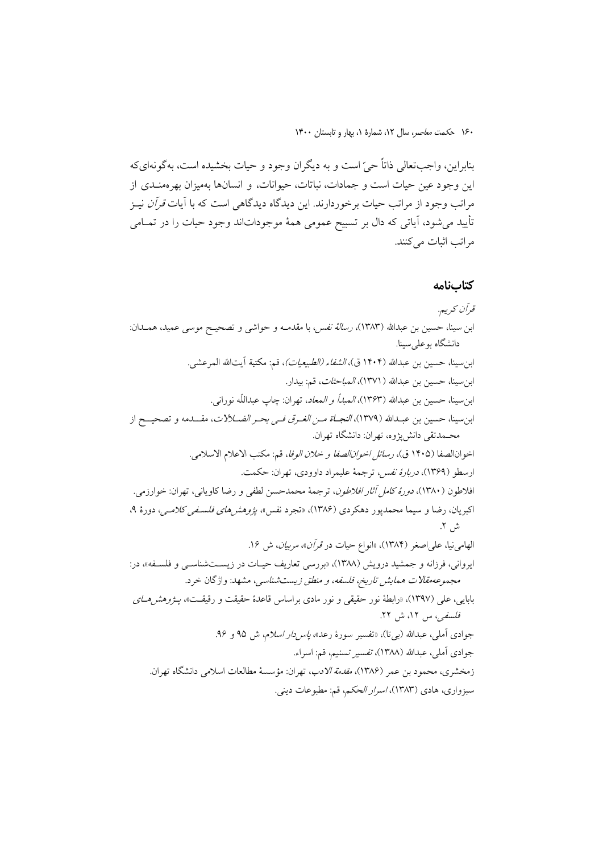بنابراين، واجبتعالي ذاتاً حي است و به ديگران وجود و حيات بخشيده است، بهگونهايكه اين وجود عين حيات است و جمادات، نباتات، حيوانات، و انسانها بهميزان بهرهمنـدي از مراتب وجود از مراتب حيات برخوردارند. اين ديدگاه ديدگاهي است كه با آيات *قرآن* نيـز تأييد ميشود، آياتي كه دال بر تسبيح عمومي همة موجوداتاند وجود حيات را در تمـامي مراتب اثبات مي كنند.

#### **كتابنامه**

# قرآن كريم. ابن سينا، حسين بن عبداالله (1383)، رسالة نفس، با مقدمـه و حواشى و تصحيـح موسى عميد، همـدان: دانشگاه بوعلي سينا. ابنسينا، حسين بن عبداالله (1404 ق)، الشفاء (الطبيعيات)، قم: مكتبة آيتاالله المرعشى. ابنسينا، حسين بن عبداالله (1371)، المباحثات، قم: بيدار. ابن $\omega$ بنا، حسين بن عبدالله (١٣۶٣)، *المبدأ و المعاد*، تهران: چاپ عبداللّه نورانى. ابن سينا، حسين بن عبـدالله (١٣٧٩)، *النجـاة مـن الغـرق فـى بحـر الضــلالات*، مقـــدمه و تصحيـــح از محـمدتقى دانشپژوه، تهران: دانشگاه تهران. اخوانالصفا (1405 ق)، رسائل اخوانالصفا <sup>و</sup> خلان الوفا، قم: مكتب الاعلام الاسلامي. ارسطو (1369)، دربارة نفس، ترجمة عليمراد داوودي، تهران: حكمت. افلاطون (1380)، دورة كامل آثار افلاطون، ترجمة محمدحسن لطفي و رضا كاوياني، تهران: خوارزمي. اكبريان، رضا و سيما محمدپور دهكردي (۱۳۸۶)، «تجرد نفس»، *پژوهشرهاي فلسـفي كلامـي، دو*رهٔ ۹، ش .2 الهامي نيا، علي اصغر (١٣٨۴)، «انواع حيات در قرآن»، *مربيان*، ش ١۶. ايرواني، فرزانه و جمشيد درويش (1388)، «بررسي تعاريف حيـات در زيسـتشناسـي و فلسـفه»، در: مجموعهمقالات همايش تاريخ، فلسفه، <sup>و</sup> منطق زيستشناسي، مشهد: واژگان خرد. بابايي، علي (١٣٩٧)، «رابطة نور حقيقي و نور مادي براساس قاعدة حقيقت و رقيقـت»، *پـژوهشهـاي* فلسفي، س ،12 ش .22 جوادي آملي، عبدالله (ب<sub>ي</sub>تا)، «تفسير سورهٔ رعد»، *پاسردار اسلام*، ش ۹۵ و ۹۶. جوادي آملي، عبداالله (1388)، تفسير تسنيم، قم: اسراء. زمخشرى، محمود بن عمر (۱۳۸۶)، *مقدمة الادب*، تهران: مؤسسهٔ مطالعات اسلامي دانشگاه تهران. سبزواري، هادي (1383)، اسرار الحكم، قم: مطبوعات ديني.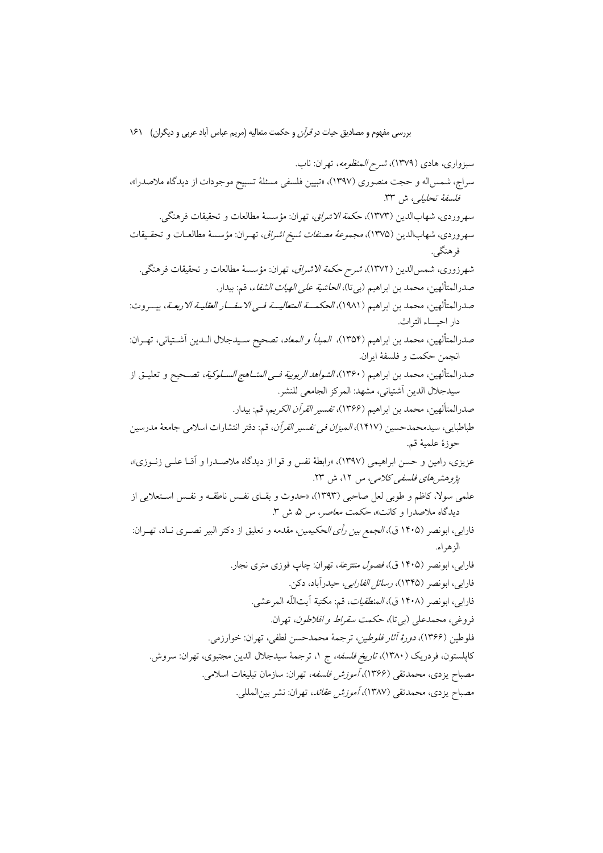سبزواري، هادي (1379)، شرح المنظومه، تهران: ناب. سراج، شمساله و حجت منصوري (1397)، «تبيين فلسفي مسئلة تسبيح موجودات از ديدگاه ملاصدرا»، فلسفة تحليلي، ش .33 سهروردي، شهابالدين (1373)، حكمةالاشراق، تهران: مؤسسة مطالعات و تحقيقات فرهنگى. سهروردي، شهابالدين (1375)، مجموعةمصنفات شيخ اشراق، تهـران: مؤسسة مطالعـات و تحقـيقات فرهنگى. شهرزورى، شمسالدين (1372)، شرح حكمة الاشراق، تهران: مؤسسة مطالعات و تحقيقات فرهنگى. صدرالمتألهين، محمد بن ابراهيم (بيتا)، الحاشية على الهيات الشفاء، قم: بيدار. صدرالمتألهين، محمد بن ابراهيم (1981)، الحكمــة المتعاليــة فـى الاسفــار العقليـة الاربعـة، بيــروت: دار احيــاء التراث. صدرالمتألهين، محمد بن ابراهيم (1354)، المبدأ <sup>و</sup> المعاد، تصحيح سـيدجلال الـدين آشـتيانى، تهـران: انجمن حكمت و فلسفة ايران . صدرالمتألهين، محمد بن ابراهيم (1360)، الشواهد الربوبية فـى المنـاهج السـلوكية، تصـحيح و تعليـق از سيدجلال الدين آشتيانى، مشهد: المركز الجامعى للنشر. صدرالمتألهين، محمد بن ابراهيم (1366)، تفسير القرآن الكريم، قم: بيدار. طباطبايي، سيدمحمدحسين (1417)، الميزان فى تفسير القرآن، قم: دفتر انتشارات اسلامى جامعة مدرسين حوزة علمية قم. عزيزي، رامين و حسن ابراهيمي (1397)، «رابطة نفس و قوا از ديدگاه ملاصـدرا و آقـا علـي زنـوزي»، پژوهشهاي فلسفي كلامي، س ،12 ش .23 علمي سولا، كاظم و طوبي لعل صاحبي (1393)، «حدوث و بقـاي نفـس ناطقـه و نفـس اسـتعلايي از ديدگاه ملاصدرا و كانت»، حكمت معاصر، س ،5 ش .3 فارابي، ابونصر (1405 ق)، الجمع بين رأى الحكيمين، مقدمه و تعليق از دكتر البير نصـرى نـاد، تهـران: الزهراء. فارابي، ابونصر (1405 ق)، فصول منتزعة، تهران: چاپ فوزي متري نجار. فارابي، ابونصر (1345)، رسائل الفارابي، حيدرآباد، دكن. فارابي، ابونصر (1408 ق)، المنطقيات، قم: مكتبة آيتاللّه المرعشى. فروغي، محمدعلي (بيتا)، حكمت سقراط <sup>و</sup> افلاطون، تهران. فلوطين (1366)، دورة آثار فلوطين، ترجمة محمدحسن لطفي، تهران: خوارزمي. كاپلستون، فردريك (1380)، تاريخ فلسفه، ج ،1 ترجمة سيدجلال الدين مجتبوي، تهران: سروش. مصباح يزدي، محمدتقي (1366)، آموزش فلسفه، تهران: سازمان تبليغات اسلامي. مصباح يزدي، محمدتقي (1387)، آموزش عقائد، تهران: نشر بينالمللي.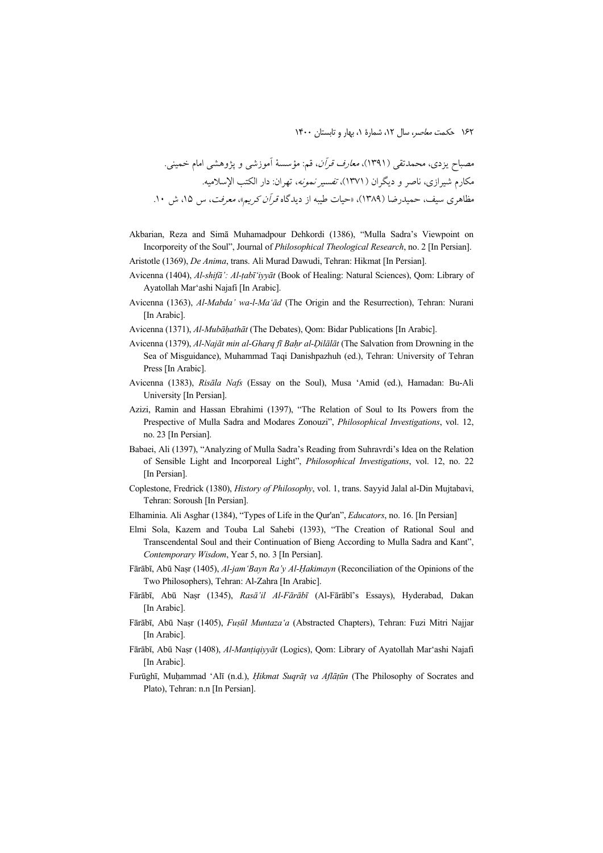مصباح یزدی، محمدتقی (۱۳۹۱)، *معارف قرآن*، قم: مؤسسهٔ آموزشی و پژوهشی امام خمینی.  
مکارم شیرازی، ناصر و دیگران (۱۳۷۱)، ت*غسیر نمونه، ته*ران: دار الکتب ال
$$
سلامیه.مظاهری سیف، حمیدرضا (۱۳۸۹)، «حیات طیبه از دیدگاه قران کریمه، معرفت، س ۱۵، ش ۱۰.
$$

- Akbarian, Reza and Simā Muhamadpour Dehkordi (1386), "Mulla Sadra's Viewpoint on Incorporeity of the Soul", Journal of *Philosophical Theological Research*, no. 2 [In Persian].
- Aristotle (1369), *De Anima*, trans. Ali Murad Dawudi, Tehran: Hikmat [In Persian].
- Avicenna (1404), *Al-shifā': Al-ṭabī'iyyāt* (Book of Healing: Natural Sciences), Qom: Library of Ayatollah Mar'ashi Najafi [In Arabic].
- Avicenna (1363), *Al-Mabda' wa-l-Ma'ād* (The Origin and the Resurrection), Tehran: Nurani [In Arabic].
- Avicenna (1371), *Al-Mubāḥathāt* (The Debates), Qom: Bidar Publications [In Arabic].
- Avicenna (1379), *Al-Najāt min al-Gharq fī Baḥr al-Ḍilālāt* (The Salvation from Drowning in the Sea of Misguidance), Muhammad Taqi Danishpazhuh (ed.), Tehran: University of Tehran Press [In Arabic].
- Avicenna (1383), *Risāla Nafs* (Essay on the Soul), Musa 'Amid (ed.), Hamadan: Bu-Ali University [In Persian].
- Azizi, Ramin and Hassan Ebrahimi (1397), "The Relation of Soul to Its Powers from the Prespective of Mulla Sadra and Modares Zonouzi", *Philosophical Investigations*, vol. 12, no. 23 [In Persian].
- Babaei, Ali (1397), "Analyzing of Mulla Sadra's Reading from Suhravrdi's Idea on the Relation of Sensible Light and Incorporeal Light", *Philosophical Investigations*, vol. 12, no. 22 [In Persian].
- Coplestone, Fredrick (1380), *History of Philosophy*, vol. 1, trans. Sayyid Jalal al-Din Mujtabavi, Tehran: Soroush [In Persian].
- Elhaminia. Ali Asghar (1384), "Types of Life in the Qur'an", *Educators*, no. 16. [In Persian]
- Elmi Sola, Kazem and Touba Lal Sahebi (1393), "The Creation of Rational Soul and Transcendental Soul and their Continuation of Bieng According to Mulla Sadra and Kant", *Contemporary Wisdom*, Year 5, no. 3 [In Persian].
- Fārābī, Abū Naṣr (1405), *Al-jam'Bayn Ra'y Al-Ḥakimayn* (Reconciliation of the Opinions of the Two Philosophers), Tehran: Al-Zahra [In Arabic].
- Fārābī, Abū Naṣr (1345), *Rasā'il Al-Fārābī* (Al-Fārābī's Essays), Hyderabad, Dakan [In Arabic].
- Fārābī, Abū Naṣr (1405), *Fuṣūl Muntaza'a* (Abstracted Chapters), Tehran: Fuzi Mitri Najjar [In Arabic].
- Fārābī, Abū Naṣr (1408), *Al-Manṭiqiyyāt* (Logics), Qom: Library of Ayatollah Mar'ashi Najafi [In Arabic].
- Furūghī, Muḥammad 'Alī (n.d.), *Ḥikmat Suqrāṭ va Aflāṭūn* (The Philosophy of Socrates and Plato), Tehran: n.n [In Persian].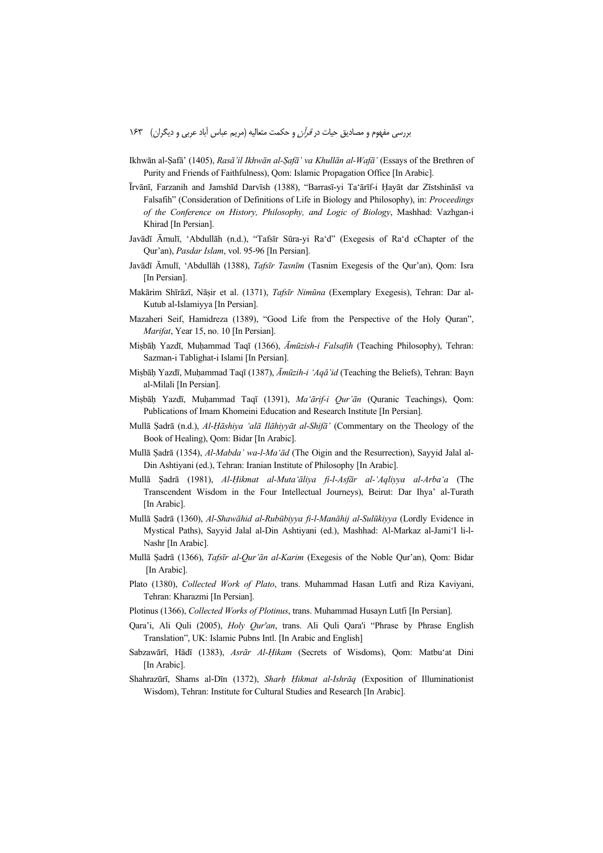- Ikhwān al-Ṣafā' (1405), *Rasā'il Ikhwān al-Ṣafā' va Khullān al-Wafā'* (Essays of the Brethren of Purity and Friends of Faithfulness), Qom: Islamic Propagation Office [In Arabic].
- Īrvānī, Farzanih and Jamshīd Darvīsh (1388), "Barrasī-yi Ta'ārīf-i Ḥayāt dar Zīstshināsī va Falsafih" (Consideration of Definitions of Life in Biology and Philosophy), in: *Proceedings of the Conference on History, Philosophy, and Logic of Biology*, Mashhad: Vazhgan-i Khirad [In Persian].
- Javādī Āmulī, 'Abdullāh (n.d.), "Tafsīr Sūra-yi Ra'd" (Exegesis of Ra'd cChapter of the Qur'an), *Pasdar Islam*, vol. 95-96 [In Persian].
- Javādī Āmulī, 'Abdullāh (1388), *Tafsīr Tasnīm* (Tasnim Exegesis of the Qur'an), Qom: Isra [In Persian].
- Makārim Shīrāzī, Nāṣir et al. (1371), *Tafsīr Nimūna* (Exemplary Exegesis), Tehran: Dar al-Kutub al-Islamiyya [In Persian].
- Mazaheri Seif, Hamidreza (1389), "Good Life from the Perspective of the Holy Quran", *Marifat*, Year 15, no. 10 [In Persian].
- Miṣbāḥ Yazdī, Muḥammad Taqī (1366), *Āmūzish-i Falsafih* (Teaching Philosophy), Tehran: Sazman-i Tablighat-i Islami [In Persian].
- Miṣbāḥ Yazdī, Muḥammad Taqī (1387), *Āmūzih-i 'Aqā'id* (Teaching the Beliefs), Tehran: Bayn al-Milali [In Persian].
- Miṣbāḥ Yazdī, Muḥammad Taqī (1391), *Ma'ārif-i Qur'ān* (Quranic Teachings), Qom: Publications of Imam Khomeini Education and Research Institute [In Persian].
- Mullā Ṣadrā (n.d.), *Al-Ḥāshiya 'alā Ilāhiyyāt al-Shifā'* (Commentary on the Theology of the Book of Healing), Qom: Bidar [In Arabic].
- Mullā Ṣadrā (1354), *Al-Mabda' wa-l-Ma'ād* (The Oigin and the Resurrection), Sayyid Jalal al-Din Ashtiyani (ed.), Tehran: Iranian Institute of Philosophy [In Arabic].
- Mullā Ṣadrā (1981), *Al-Ḥikmat al-Muta'āliya fi-l-Asfār al-'Aqliyya al-Arba'a* (The Transcendent Wisdom in the Four Intellectual Journeys), Beirut: Dar Ihya' al-Turath [In Arabic].
- Mullā Ṣadrā (1360), *Al-Shawāhid al-Rubūbiyya fi-l-Manāhij al-Sulūkiyya* (Lordly Evidence in Mystical Paths), Sayyid Jalal al-Din Ashtiyani (ed.), Mashhad: Al-Markaz al-Jami'I li-l-Nashr [In Arabic].
- Mullā Ṣadrā (1366), *Tafsīr al-Qur'ān al-Karim* (Exegesis of the Noble Qur'an), Qom: Bidar [In Arabic].
- Plato (1380), *Collected Work of Plato*, trans. Muhammad Hasan Lutfi and Riza Kaviyani, Tehran: Kharazmi [In Persian].
- Plotinus (1366), *Collected Works of Plotinus*, trans. Muhammad Husayn Lutfi [In Persian].
- Qara'i, Ali Quli (2005), *Holy Qur'an*, trans. Ali Quli Qara'i "Phrase by Phrase English Translation", UK: Islamic Pubns Intl. [In Arabic and English]
- Sabzawārī, Hādī (1383), *Asrār Al-Ḥikam* (Secrets of Wisdoms), Qom: Matbu'at Dini [In Arabic]
- Shahrazūrī, Shams al-Dīn (1372), *Sharḥ Ḥikmat al-Ishrāq* (Exposition of Illuminationist Wisdom), Tehran: Institute for Cultural Studies and Research [In Arabic].